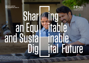**INFOSYS LIMITED ESG DATABOOK 2020-21**



# **Shar** an Equ and Susta

# itable inable Dig ital Future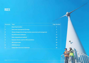

| <b>Annexure Topic</b> |                                                                        | <b>Page Number</b> |
|-----------------------|------------------------------------------------------------------------|--------------------|
|                       | <b>Reporting boundary</b>                                              | $\overline{2}$     |
| $\overline{2}$        | <b>Data center management Strategy</b>                                 | 3                  |
| 3                     | <b>Climate change risk and opportunities assessment and management</b> | 4                  |
| 4                     | <b>Key Performance Indicators</b>                                      | 17                 |
| 5                     | <b>Data computational methods</b>                                      | 24                 |
| 6                     | <b>Emissions factors used for GHG calculations</b>                     | 27                 |
| 7                     | <b>GRI content index</b>                                               | 29                 |
| 8                     | <b>SASB Disclosure</b>                                                 | 35                 |
| 9                     | <b>Independent Assurance Statement</b>                                 | 36                 |

*External Document © 2021 Infosys Limited*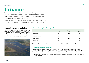<span id="page-2-0"></span>The reporting boundary for all our environmental, social and governance disclosures, unless otherwise stated, covers the operations of Infosys Limited and its subsidiaries. Infosys is an IT company and has company-owned offices, leased offices and employees working in client offices.

Infosys has defined topic boundary based on the significance of the impacts and the potential for reductions that could be undertaken/influenced by the organization.

# Boundary for environment data disclosure

The topic boundary for each environmental aspect has been defined at a country level, taking into account the impacts and reduction potential. All countries with over 1% of Infosys employee strength were taken for further consideration. Amongst these countries, all offices with a seating capacity of 500+ have been considered as significant locations



# **1. Disclosure boundary for water, energy and waste**

|                                             | Reporting on the following |            |       |  |  |
|---------------------------------------------|----------------------------|------------|-------|--|--|
| <b>Country of operation</b>                 | <b>Energy</b>              | Water      | Waste |  |  |
| India (all offices)                         | Yes                        | Yes        | Yes   |  |  |
| China (Dalian, Hangzhou, Shanghai, Shenzen) | Yes                        | <b>Yes</b> | Yes   |  |  |
| Australia (Melbourne)                       | Yes                        | <b>Yes</b> | Yes   |  |  |
| Philippines (Manila)                        | Yes                        | <b>Yes</b> | Yes   |  |  |
| Poland (Lodz)                               | Yes                        | No         | Yes   |  |  |
| USA (Atlanta, Austin, Raleigh, Richardson)  | Yes                        | Yes        | Yes   |  |  |

*Additionally, as an IT company, Infosys has chosen to monitor and report all locations with data centers. This includes additional offices in Quincy, Plano, London.*

# **2. Disclosure boundary for GHG emissions**

In line with the principles of GHG protocol, Infosys has chosen the 'Operational Control' approach for consideration of GHG emissions. The topic boundary for GHG emissions therefore includes all our owned offices and only those leased offices with operational control. Therefore, the disclosure boundary for GHG emissions for fiscal 2021 includes all offices in India, owned offices in Shanghai, and leased offices in Dalian, Hangzhou and Shenzen, China. In addition, given that it is an IT company, Infosys has chosen to monitor and report power and emissions data for all locations with data centers, viz.: London (UK), Quincy and Plano (USA).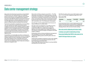# <span id="page-3-0"></span>Data center management strategy

Data centers have been key to powering our shared digital IT infrastructure core, helping business, our employees, partners and clients to connect, collaborate and accelerate business-led innovations and digital business initiatives across the world. With the advent of cloud and microserviceled design approaches, enterprise datacenters are moving to be the edge of the cloud and distributed architecture patterns of hybrid clouds are evolving to the next level.

The direction and patterns of application access has shifted with users getting more mobile, demanding a hybrid workplace environment. With employees working in hybrid workplace/cloud environments and developing innovative platforms, services and digital experiences, a shared digital infrastructure supported by an ecosystem of on-premise/ co-location data center facilities and Cloud Infrastructure is quintessential for powering and sustaining successful digital journeys.

Sustainability is an inextricable part of how we design and operate our datacenter facilities and IT services. An enterprise strategic initiative has been undertaken to modernize the data centers helping us drive sustainable Total Cost of Ownership TCO reductions, increasing server density per rack by 12x and establishing a future-ready clean and green datacenter managed at scale.

Data centers at Infosys campuses account for 5 – 7% of the total power consumption of our global operations annually. In fiscal 2021, the total power consumption of operations has reduced due to employees working from home. However, the power consumption of data centers remained almost similar to previous years. Data center power consumption in fiscal 2021 amounted to over 11% of total power consumption.

Over the years, we have implemented several measures to improve efficiency in our data centers.

New data centers are designed in a very efficient manner, including arrangement of racks, hot aisle / cold aisle containment, efficient air conditioning strategies and lighting, and Uninterruptible Power Supply (UPS) systems. Use of passive cooling technologies are adopted in favorable weather conditions.

Existing data centers are being retrofitted by rearrangement and consolidation of server racks, replacing old airconditioning, lighting systems and UPS systems with new efficient ones.

Implementing a Building management system with capability to remotely monitor key operational parameters like rack level temperature and real time PUE (Power Usage Effectiveness) has helped in ensuring reliability and efficiency of our data centers.

The PUE of our data centers across India locations ranges from 1.31 to 2.56, with a weighted average PUE of 1.62.

### **Data center PUE:**

| Parameter  | Fiscal 2021 | Fiscal 2020 | Fiscal 2019 |
|------------|-------------|-------------|-------------|
| <b>PUE</b> | 1.62        | 1.61        | 1.68        |

On the governance front, we have implemented security cadence and information security practices, heightened vigilance in protecting the digital core and defending against emerging threats in the new era of remote working.

We are also actively collaborating with industry bodies

to develop a user guide for implementing an Energy Conservation Building Code (ECBC) for data centers for the benefit of the larger industry eco-system.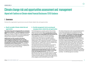# <span id="page-4-0"></span>Climate change risk and opportunities assessment and management Aligned with Taskforce on Climate-related Financial Disclosures (TCFD) Guidance

# 1. Governance

Disclose the organization's governance around climate-related risks and opportunities

# **a. Board's oversight of climate-related risks and opportunities**

**The climate change risks and opportunities are reviewed at a Board level committee – the Risk Management Committee (RMC).** The committee comprises four Independent Directors, including the Chairperson of RMC. The climate change risks and opportunities are covered under the 'operational risks' for the Company and are reviewed on a quarterly basis.

**Additionally, the CSR committee of the Board (comprising three Independent Directors and the COO—the Whole-Time Director) is also responsible for overseeing the execution of the Company's CSR policy, including the areas of Climate Action.** The committee meets quarterly to track the progress of our climate action commitments and the required budgets for mitigating and building resilience against climate change.

# **b. Describe management's role in assessing and managing climate-related risks and opportunities**

The Risk Management committee and the CSR committee assess and oversee the activities of climate action as a part of their quarterly meetings. **At an operational level, this has been assigned as the responsibility of the COO and the CFO.** Under the guidance of our COO, the EVP and Head of Sustainability drives projects to meet the goals related to climate action. These goals are cascaded to various Business Unit Managers, who look after the identification, implementation, and monitoring of the projects. The Business Unit Managers work in collaboration with the Corporate and location wise EHS - Facilities teams. In this way, climate action is driven both top-down as well as bottom-up. The requirements of projects and progress are provided by the location-level teams, which is then reported to the Business Unit Head and the COO/CFO for allocation of funds.

**The Risk Council comprising the CEO, COO, CFO, CRO and the General Counsel, provides cadence or oversight on the risk management process.** The Office of Risk Management team reports into the Risk Council on a regular basis on all the major risks and strategies related to climate change, and business operation, among other risks. The Risk Council reviews the adequacy, progress and the effectiveness of the mitigation actions and further reports to RMC.

The climate change risks can also cause potential disruptions to our business operations due to calamities like floods, cyclones, droughts, epidemic and pandemic, etc. in cities where we operate. **The Business Continuity Management System (BCMS) team headed by our COO is therefore very actively involved in monitoring and managing these climate change related risks.** Our ERM framework is developed by incorporating the best practices based on the Committee of Sponsoring Organizations of the Treadway Commission (COSO) and ISO 31000 and then tailored to suit our unique business requirements. Infosys continues to be certified for ISO 22301:2012, ISO 9001:2015, ISO 14001:2015 and ISO 45001:2018, which help the organization to act smartly on climate-related issues and provide best practices in the sector. Reviewing and guiding risk management policies, monitoring and overseeing progress against goals and targets for addressing climate-related issues, and climate change risks and opportunities are reviewed at a Board-level committee – the Risk Management Committee.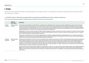# 2. Strategy

Disclose the actual and potential impacts of climate-related risks and opportunities on the organization's businesses, strategy, and financial planning where such information is material.

### **a. Describe the climate-related risks and opportunities the organization has identified over the short, medium, and long term**

Some of the risk and opportunity categories considered by Infosys during the current year for its assessment include:

|                        | Relevance<br>and inclusion   | <b>Explanation</b>                                                                                                                                                                                                                                                                                                                                                                                                                                                                                                                                                                                                                                                                                                                                                                                                                                                                                             |
|------------------------|------------------------------|----------------------------------------------------------------------------------------------------------------------------------------------------------------------------------------------------------------------------------------------------------------------------------------------------------------------------------------------------------------------------------------------------------------------------------------------------------------------------------------------------------------------------------------------------------------------------------------------------------------------------------------------------------------------------------------------------------------------------------------------------------------------------------------------------------------------------------------------------------------------------------------------------------------|
| Current<br>regulation  | Relevant, always<br>included | The Securities Exchange Board of India (SEBI) has mandated the top 1000 Indian listed companies (by market capitalization) to report on Environmental,<br>Social and Governance (ESG) parameters as part of their Annual Financial Reporting from financial year 2019 onwards. The National Voluntary Guidelines<br>(NVGs) by the Ministry of Corporate affairs, Government of India, outlines a set of guiding Principles for Responsible Business (PRBs) and provides guidance<br>and frameworks for the implementation of the same. The environment indicators include GHG emissions and related dimensions. Any mandatory emission<br>reporting requirements in countries where we operate outside India is a potential risk.                                                                                                                                                                              |
|                        |                              | Additionally, the various countries have specific climate change management disclosure requirements for listed companies: for example, the Johannesburg<br>Stock Exchange, Australia Securities Exchange, the US Securities and Exchange Commission, to name a few. Infosys, a listed company in the US, is required<br>file Form 20F, disclosing risks, including climate change risks.                                                                                                                                                                                                                                                                                                                                                                                                                                                                                                                       |
|                        |                              | Risks arising out of threats posed to our financial, organizational or reputation standing resulting from potential violations or non-conformance with laws,<br>regulations, codes of conduct or contractual compliance have been considered a significant risk category for Infosys. The climate change related regulatory<br>requirements are therefore regularly tracked and monitored by the Infosys team.                                                                                                                                                                                                                                                                                                                                                                                                                                                                                                 |
| Emerging<br>regulation | Relevant, always<br>included | Following the Paris Agreement, member countries have offered emission reduction commitments in the form of Intended Nationally Determined Contributions<br>(INDCs). India for example has set out to reduce its emission intensity by 33-35% by 2030 and achieve 40% cumulative electric power installed capacity from<br>non-fossil fuel-based energy sources. Given our global presence, this could have an impact on Infosys' direct operations. In the event that these targets are<br>passed on to various industry sectors, either in terms of a carbon tax or emission reduction or RE intake, Infosys sees a risk for its business and operations. To<br>mitigate the risk, Infosys sees a substantive financial implication. Emission reduction targets or a carbon tax passed on to our clients in sectors such as oil & gas,<br>mining, energy, etc, may have an impact on our business and growth. |
|                        |                              | Also, the Government of India through the Ministry of Corporate Affairs is rolling out new requirements for Business Responsibility and Sustainability Reporting<br>(BRSR) for the Top 1000 companies listed on SEBI. This includes specific disclosures on company's management of climate change risks and opportunities in<br>addition to the performance in these areas. Given that these are compliance requirements, non-compliance can adversely impact the brand and reputation of<br>the Company.                                                                                                                                                                                                                                                                                                                                                                                                     |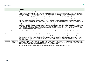|            | <b>Relevance</b><br>and inclusion | <b>Explanation</b>                                                                                                                                                                                                                                                                                                                                                                                                                                                                                                                                                                                                                                                                                                                                                                                                                                                                                                                                                                                                                                                                                                                                                                                                                                                                                              |
|------------|-----------------------------------|-----------------------------------------------------------------------------------------------------------------------------------------------------------------------------------------------------------------------------------------------------------------------------------------------------------------------------------------------------------------------------------------------------------------------------------------------------------------------------------------------------------------------------------------------------------------------------------------------------------------------------------------------------------------------------------------------------------------------------------------------------------------------------------------------------------------------------------------------------------------------------------------------------------------------------------------------------------------------------------------------------------------------------------------------------------------------------------------------------------------------------------------------------------------------------------------------------------------------------------------------------------------------------------------------------------------|
| Technology | Relevant, always                  | There are two aspects to technology related risks and opportunities – how it impacts our clients and how it impacts us.                                                                                                                                                                                                                                                                                                                                                                                                                                                                                                                                                                                                                                                                                                                                                                                                                                                                                                                                                                                                                                                                                                                                                                                         |
|            | included                          | Clients: Infosys can utilize its expertise in both digital/IT as well as sustainability, low carbon transition, to offer solutions to clients in their sustainability<br>and low carbon journey. The Sustainability Practice Unit (SPU) established during the year intends to capitalize on our expertise taking the offering to our<br>clients through the following 4 overarching Pathways to Sustainability: 1) Ecowatch - Powered by Microsoft Business Applications, 2) Zero Carbon Building<br>(ZCB) pathways, 3) Product Lifecycle Management as a Foundation for a Circular Economy, and 4) Financial Services Offerings for Sustainable Investment<br>Decisions (ESG). Additionally, Infosys campuses serve as 'living labs' for clean tech adoption. As a key pillar of our climate change mitigation strategy, we<br>offer clean technology services to clients to help them reduce their carbon footprint and overall environmental impacts. We have implemented various<br>solutions for our clients in manufacturing, pharma, utilities and service industries. Our efforts are organized around the twin objectives of: developing<br>products and solutions that are cleaner; and improving underlying processes through the effective use of advanced technologies like IoT, AI and robotics. |
|            |                                   | Infosys: We have seen a steady increase in the cost of electricity and diesel over the years in India and most of the countries where we operate, and we<br>anticipate the same trend to continue in the coming years. The uncertainty regarding future energy prices remains a potential operational risk to Infosys. In<br>addition, the Infosys carbon neutral commitment meant that Infosys needed to look at the various technological interventions required to become carbon<br>neutral. Infosys started on this journey way back in 2008 to reduce its carbon footprint. Infosys has therefore focused on low-carbon and energy efficient<br>systems through its investments in the Green Buildings and Solar power plants. While Technology can be a risk, Infosys has used the same to its advantage,<br>and has been successful in staying ahead of the curve.                                                                                                                                                                                                                                                                                                                                                                                                                                       |
| Legal      | Not relevant                      | Infosys, being an IT Consulting and Services company, does not have nor foresees any climate change specific litigation or claims. However, it constantly<br>strives to ensure compliance for all its operations with respect to climate change as detailed in sections above.                                                                                                                                                                                                                                                                                                                                                                                                                                                                                                                                                                                                                                                                                                                                                                                                                                                                                                                                                                                                                                  |
| Market     | Relevant, always<br>included      | In response to increasing awareness on climate change and other related socio-environmental issues, clients increasingly request for our emission<br>performance or CDP score during request for proposals (RFP) or the bidding stage. This could translate into a filtering criterion or a strongly weighted<br>parameter in their decisions to work with a particular entity. If Infosys performance is not managed in these areas, Infosys may lose to competition who<br>could exceed its environmental/social performance as assessed by clients. The Company responds to multiple sustainability supplier assessments from<br>its clients, including the CDP supply chain response every year. Infosys perceives this as an increasing risk and hence has invested heavily in people and<br>resources to address this risk.                                                                                                                                                                                                                                                                                                                                                                                                                                                                               |
| Reputation | Relevant, always<br>included      | Having taken some early actions, including the commitment at the UN to become carbon neutral, and achieving it in fiscal 2021, Infosys has established<br>itself as a leader for its climate action. This has not only built our reputation but also, given us an edge over our peers/competition. The ESG vision detailing<br>our 10 year plan for climate action and other areas of ESG was yet another such commitment.                                                                                                                                                                                                                                                                                                                                                                                                                                                                                                                                                                                                                                                                                                                                                                                                                                                                                      |
|            |                                   | In the event the company fails to meet its voluntary commitments, it is likely that our brand and reputation will be affected.                                                                                                                                                                                                                                                                                                                                                                                                                                                                                                                                                                                                                                                                                                                                                                                                                                                                                                                                                                                                                                                                                                                                                                                  |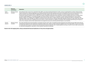|                     | Relevance<br>and inclusion   | <b>Explanation</b>                                                                                                                                                                                                                                                                                                                                                                                                                                                                                                                                                                                                                                                                                                                                                                                                                                                                                                                                                                                                                                                                                                                                                                                                                                                                                                                                                                                                 |
|---------------------|------------------------------|--------------------------------------------------------------------------------------------------------------------------------------------------------------------------------------------------------------------------------------------------------------------------------------------------------------------------------------------------------------------------------------------------------------------------------------------------------------------------------------------------------------------------------------------------------------------------------------------------------------------------------------------------------------------------------------------------------------------------------------------------------------------------------------------------------------------------------------------------------------------------------------------------------------------------------------------------------------------------------------------------------------------------------------------------------------------------------------------------------------------------------------------------------------------------------------------------------------------------------------------------------------------------------------------------------------------------------------------------------------------------------------------------------------------|
| Acute<br>physical   | Relevant, always<br>included | Acute physical risks are part of our operational risks. With a very large operational footprint in India, we have recognized there are direct climate change<br>impacts arising from (1) physical damage to our building infrastructure and other physical assets and (2) disruptions of the city's functional infrastructure<br>such as transport network and utilities including power and water supply in the cities that we operate can severely hamper business continuity.<br>Furthermore, extreme weather events can affect the morale of employees, affecting business operations. Extreme weather events due to climate change<br>can lead to health epidemics. For example, drought can bring increases in food prices, or shortages of certain foods and flooding can cause cholera,<br>diarrhea, malaria, etc. Changes in the availability of natural resources like water in regions where we operate could directly impact our operations and<br>employee welfare, which will affect our ability to do business and ensure business continuity. With large operating campuses in major urban cities of India,<br>water stress and scarcity pose a significant near-term risk for us which will impact our ability to do business. We are already experiencing such impacts in<br>some of our campuses, and we have implemented risk management process to minimize potential impact on our business. |
| Chronic<br>physical | Relevant, always<br>included | The carbon dioxide level in the atmosphere crossed the 416-ppm mark in 2021. The global average temperature has already risen by 0.98°C above the pre-<br>industrial level. Despite the Paris Agreement and global climate action, global warming continues unabated. Some of our large office campuses are located<br>in coastal cities that are prone to sea level rise and consequent business continuity risks. Unabated global warming can lead to chronic water scarcity across<br>our operational geographies, especially in India, leading to operational challenges.                                                                                                                                                                                                                                                                                                                                                                                                                                                                                                                                                                                                                                                                                                                                                                                                                                      |

**Based on the risk mapping above, Infosys estimated the financial implications of 3 key risks and opportunities.**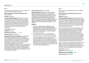### **Risk 1**

Increased indirect (operating) costs due to non-adoption of lower emissions technology (EE program)

**Where in the value chain does the risk driver occur:**  Direct operations

### **Risk type:** Technology

**Company-specific description:** We have seen a steady increase in the cost of electricity and diesel over the years in India and most of the countries where we operate. We anticipate the same trend to continue in the coming years. The uncertainty regarding future energy prices remains a potential risk to Infosys. While Infosys spends less than 5% of its operating cost for energy procurement, this is still a significant number given our overall operating cost and revenues.

**Time horizon:** Long-term

**Likelihood:** Very likely

**Magnitude of impact:** Low

### **Financial impact:** US\$ 545 million

**Explanation of financial impact figure:** During fiscal 2021, the average cost of power for Infosys in India was about US\$ 99.10 per MWh. Based on the current and past trends of the cost of grid power, we expect electricity cost to increase, going forward. For our risk estimation, we have considered an escalation in energy cost by 2%. In comparison to the prescribed energy performance index by the Bureau of Energy efficiency (India) for a 3 star rated commercial building at 12.8 kWh/sq. ft, Infosys has designed its buildings for an EPI of 6.97 kWh/sq. ft. Considering our office spaces, if Infosys buildings performed as per the recommendations of BEE standards for 3-star rated commercial buildings, this could cost us about US\$ 545 million.

### **Cost of response to risk:** US\$ 34.86 million

**Description of response:** Infosys has continued focused efforts to address the risks related to energy costs/taxes/ regulation, Reduction of requirement at source in new and existing operations/buildings, higher dependence on clean renewable energy through procurement and solar power installations have been a part of the company's strategy. Being an IT company with large commercial spaces, Infosys has ensured that all its new campuses are LEED Platinum-rated/ GRIHA 5 Star certified green buildings designed for resource efficiency.

### **Examples:**

- 1) All our new buildings built from 2008 onwards are designed to meet the highest LEED/GRIHA standards. During fiscal 2021, we added 3 additional projects to our LEED certified buildings, taking our total area of Green Buildings to over 26 million sq. ft. that has the highest level of green certification.
- 2) Completed implementation of 15 energy efficiency projects (EE) and have more EE projects in the pipeline.

 The cost of response to the risk is evaluated on the basis on total Energy efficiency investments for the next 10 years, in addition to the cost of subject matter experts (SME) for the given year. The cost of the SMEs in the team is arrived basis the "mean remuneration of employees" as published in our annual report. For the current analysis we have considered 25 SMEs. This does not include the cost of construction of a Green Building itself.

### **Risk 2**

Adverse impact on market capitalization due to inability to meet ESG goal

**Where in the value chain does the risk driver occur:** Direct operations

### **Risk type:** Reputation

**Company-specific description:** During fiscal 2021, Infosys launched its ESG vision 2030 which included specific goals for climate action. We have committed to remain carbon neutral for each year over the next decade. Also, we have committed to reduce our scope 1+2 emissions by 75% and our scope 3 by 30% by fiscal 2030. The ESG vision also has specific focus on not only ensuring we reduce our own footprint but also take our clients on this journey.

Our carbon neutrality announcement in fiscal 2020, as well as our strong ESG performance over the past decade, has created a well-recognized positive impact on our overall image and branding. It has also positioned us as a safe company to invest in, as seen by most major ESG fund managers (ICICI Prudential, Aditya Birla Mirae Asset, Kotak, etc.). Our stakeholders - especially our clients and employees - look at us as true leaders in climate action and are excited to work with the company. We saw a positive coverage by media as well as most international rating agencies. All this was made possible through a decade long commitment and consistent efforts made to achieve those commitments.

With the new ESG vision and the targets announced, in the event Infosys is unable to meet its targets, we expect that this can lead to a negative media coverage and impact our brand and reputation, as well as international ESG ratings. A failure to meet the targets, could also potentially affect our market capital.

### **Time horizon:** Long-term

**Likelihood:** About as likely as not

**Magnitude of impact: Magnitude of impact:**  $\bullet$  **High** 

**Financial impact: US\$ 795 million**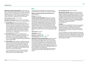**Explanation of financial impact figure:** As of fiscal 2021, the Infosys market capital stood at US\$ 79,470 million. As detailed above, any impact on our ESG ratings, can impact how the fund managers view us for investments. Even a 1% change in our market capitalization, owing to negative publicity or reduced ratings, could result in a potential loss of US\$ 795 million.

**Cost of response to risk:** US\$ 107 million

**Description of response:** In order to ensure we continue remaining carbon neutral, Infosys used a 3-pronged approach:

- **1) Energy Efficiency:** Infosys has continued focused efforts to address the risks related to energy costs/taxes/ regulation: reduction of requirement at source in new and existing operations/buildings, higher dependence on clean renewable energy through procurement and solar power installations and ensuring all its new buildings are LEED Platinum/GRIHA 5 Star certified. This year we implemented 15+ energy efficiency projects and have more EE projects in the pipeline.
- **2) Renewable Energy:** Reduction of requirement at source in new and existing operations/buildings, higher dependence on clean renewable energy through procurement and solar power installations remain our focus. Our total installed renewable energy capacity today stands at about 60MW.
- **3) Carbon Offset:** Infosys continues to identify and work on issues in rural India that also offer a potential for emission reductions. The main areas of intervention remain the clean cooking space. During fiscal 2021, we added one new household biogas project, in the Vidarbha region of Maharashtra, to our program portfolio bringing the total project list to 9 carbon offset projects.

 It is to be noted that this cost of response mentioned above is limited to the investments made in energy efficiency, RE and Carbon offset programs.

# **Risk 3**

Increased indirect (operating) costs in the event of not transitioning to lower emissions technology (Renewables)

**Where in the value chain does the risk driver occur:** Direct operations

**Risk type:** Technology

**Company-specific description:** We have seen a steady increase in the cost of electricity and diesel over the years in India and most of the countries where we operate. We anticipate the same trend to continue in the coming years. The uncertainty regarding future energy prices remains a potential risk to Infosys. While Infosys spends less than 5% of its operating cost for energy procurement, this is still a significant number given our overall operating cost and revenues. If we do not invest in Solar and other renewables through direct installations or 3rd party procurement, Infosys will have to bear the cost of the ever-increasing grid energy costs.

**Time horizon:** Long-term

**Likelihood:** Very likely

**Magnitude of impact:**  $\bullet$  Low

**Financial impact:** US\$ 100.31 million

**Explanation of financial impact figure:** During fiscal 2021, the average cost of power for Infosys in India was about US\$ 99.10 million per MWh. Based on the current and past trends of the cost of grid power, we expect electricity cost to increase, going forward. For our risk estimation, we have considered an escalation in energy cost in the range of 2%. If no investments are made on RE installations which are now relatively cheaper than grid power itself, Infosys will have to bear an additional cost of grid power.

The energy costs for Infosys, without any RE interventions, could have gone up by US\$ 100.31million over the next decade.

### **Cost of response to risk:** US\$ 61.39 million

**Description of response:** Infosys has continued focused efforts to address the risks related to energy costs/taxes/ regulation, Reduction of requirement at source in new and existing operations/buildings, higher dependence on clean renewable energy through procurement and solar power installations have been a part of the company's strategy. Being an IT company with large commercial spaces, Infosys has ensured that all its new campuses have LEED/GRIHA certified green buildings designed for resource efficiency.

### **Examples:**

During fiscal 2021, 68,478 MWh of electricity was produced from our own solar PV installation across our campuses. Along with the green power procurement and the onsite solar generation, about 50% of overall electricity requirements of our campuses in India were met through renewable power.

The cost of response to the risk is evaluated on the basis of total solar PV investment in addition to the cost of the SMEs for the given year. The cost of the SMEs in the team is arrived at on the basis of the "mean remuneration of employees" as published in our annual report. For the current analysis we have considered 25 SMEs.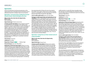### **Opportunities:**

Infosys has listed below the financial implications of the opportunities that are identified with the potential to have a substantive financial or strategic impact on our business.

### **Opportunity 1: Increased revenues resulting from increased demand in climate-related technologies and services**

### **Where in the value chain does the Opportunity, driver occurs:**

Direct operations

**Opportunity type: Products and services** 

**Company-specific description:** Infosys intends to improve its competitiveness and capitalize on the shifting client preferences using its sustainability, low carbon transition and digital/IT expertise to help its clients in their sustainability and low carbon journey. The Sustainability Practice Unit (SPU) established during the year intends to capitalize on its expertise taking the offering to our clients through the following 4 overarching Pathways to Sustainability: 1) EcoWatch – powered by Microsoft Business Applications, 2) Zero Carbon Building (ZCB) pathways, 3) Product Lifecycle Management as a Foundation for a Circular Economy, and 4) Financial Services Offerings for Sustainable Investment Decisions (ESG).

**Time horizon:** Long-term

**Likelihood:** Very likely

### **Magnitude of impact:** Medium-high

**Financial impact:** upto US\$ 1000 million

**Explanation of financial impact figure:** Infosys is an over 259,000 employees strong organization that caters to 1,626 clients across geographies. Digital technology services form about half of the total revenues for the year. North America continues to contribute two-thirds of the company's overall revenue. With US' renewed focus on Climate and all countries/ corporates working towards the Paris agreement goal, Infosys anticipates huge growth in the Climate related services. We are already getting numerous requests from our existing clients to incorporate elements of sustainability and climate action into our existing and ongoing projects. Considering

the projected growth of Infosys, the size of our projects, the number of our clients, and the new as well as renewed interest in sustainability, we expect the long-term potential financial impact figure of upto US\$ 1000 million.

**Cost to realize opportunity:** about US\$ 500 million

**Strategy to realize opportunity and explanation of cost calculation:** In 2021, Sustainability Practice Unit (SPU) will rapidly expand to include subject matter experts, business graduates, consultants, and software developers. The cost to realize the opportunity is a conservative estimate based on the growth plans of the SPU. The unit has potential to grow upto 1000 people strong in the next couple of years. SPU will be collaborating with teams within Infosys and also actively partnering with external partners. To enhance its capabilities, SPU is engaged with Ellen Macarthur Foundation, World Economic Forum, UNESDA, Arizona State University and Green for Life. SPU will also be relying on the gig economy to recruit experts internally and externally. 15% of the total cost is towards licencing fees and collaboration costs. The cost also accounts for nominal inflation.

## **Opportunity 2: Savings from use of lower-emission sources of energy (renewables)**

### **Where in the value chain does the Opportunity, driver occur:** Direct operations

**Opportunity type: Energy Source** 

**Company-specific description:** We have seen a steady increase in the cost of electricity and diesel over the years in India and most of the countries where we operate. We anticipate the same trend to continue in the coming years. The uncertainty regarding future energy prices remains a potential risk to Infosys. While Infosys spends less than 5% of its operating cost for energy procurement, this is still a significant number given our overall operating cost and revenues. Having invested in working with the various State Governments, technology providers and 3<sup>rd</sup> party renewable energy producers, Infosys has been able from

swiftly transition to nearly 50% clean renewable energy. Not only have we reached higher RE contribution, but this has also helped reduce our operational expenses by reducing grid power dependency.

**Time horizon:** Long-term

**Likelihood:** Very likely

**Magnitude of impact:** Low

### **Financial impact:** US\$ 100.31 million

**Explanation of financial impact figure:** During fiscal 2021, the average cost of power for Infosys in India was about US\$ 99.10 per MWh. Based on the current and past trends of the cost of grid power, we expect electricity cost to increase going forward. For our risk estimation, we have considered an escalation in energy cost in the range of 2%. If no investments are made on renewable energy, which are now relatively cheaper than grid power itself, Infosys would have depended completely on grid power. Through our RE investments, Infosys can potentially save up to US\$ 100.31 million over the next decade.

**Cost to realize opportunity:** US\$ 61.39 million

**Strategy to realize opportunity and explanation of cost calculation:** Infosys has continued focused efforts to address the risks related to energy costs/taxes/regulation: higher dependence on clean renewable energy through procurement and solar power installations.

During fiscal 2021, 68,478 MWh of electricity was produced from our own solar PV installations across our campuses. Along with the green power procurement and the onsite solar generation, about 50% of overall electricity requirements of our campuses in India were met by Renewable power.

The cost of response to the risk is evaluated on the basis of total solar PV investments, in addition to the cost of the SMEs for the given year. The cost of SMEs in the team is arrived at on the basis of the "mean remuneration of employees" as published in our Annual Report (AR). For the current year's analysis we have considered 25 SMEs.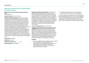### **Opportunity 3: Savings from Move to more efficient buildings**

### **(Energy efficiency Program)**

**Where in the value chain does the opportunity driver occur:**

Direct operations

### **Opportunity type:** Resource Efficiency

**Company-specific description:** We have seen a steady increase in the cost of electricity and diesel over the years in India and most of the countries where we operate. We anticipate the same trend to continue in the coming years. The uncertainty regarding future energy prices remains a potential risk to Infosys. While Infosys spends less than 5% of its operating cost for energy procurement, this is still a significant number given our overall operating cost and revenues. Recognizing the cost of power and the opportunity to reduce power demand through energy efficiency measures, Infosys has been designing and building highly efficient, LEED Platinum/GRIHA 5 star rated new offices while retrofitting existing ones. Our campuses and buildings are 24x7 remotely monitored through IOT based automation, helping us drive energy efficiency to new levels. Over the last 13 years, we have managed to reduce our per capita energy consumption by over 55%, thereby reducing our operational costs.

**Time horizon:** Long-term

**Likelihood:** Very likely

**Magnitude of impact:**  $\bullet$  Low

**Financial impact: US\$ 545 million** 

**Explanation of financial impact figure:** During fiscal 2021, the average cost of power for Infosys in India was about US\$ 99.10 per MWh. Based on the current and past trends of the cost of grid power, we expect electricity cost to increase going forward. For our risk estimation, we have considered an escalation in energy cost in the range of 2%. In comparison to the prescribed energy performance index by the Bureau of Energy efficiency (India) for a 3 star rated commercial building at 12.8 kWh/sq. ft, Infosys designs its buildings at an EPI of 6.97 kWh/sq. ft. Considering our office spaces are built at better EPIs, this could mean a potential saving of about US\$ 545 million.

**Cost to realize opportunity: US\$ 34.86 million** 

**Strategy to realize opportunity and explanation of cost calculation:** Being an IT company with large owned and operated commercial spaces commercial spaces, Infosys has ensured that all its new campuses are LEED Platinum/ GRIHA 5 Star certified green buildings designed for resource efficiency. We also undertake deep green retrofits of older buildings, bringing their energy performance on par with new buildings. We have been able certify some of our large existing campuses under LEED Platinum/GRIHA 5-star certification through a series of upgrades and retrofits.

### **Examples:**

1) All our new buildings built from 2008 onward are designed to meet LEED Platinum standards/GRIHA 5 Star. During fiscal 2021, we added 3 additional projects to our LEED certified buildings, taking our total area of Green Buildings to over 26 million sq. ft. that has the highest level of green certification

2) Completed implementation of 15 energy efficiency projects and have more EE projects in the pipeline.

The cost of response to the opportunity is evaluated on the basis of Energy efficiency for the next 10 years, in addition to the cost of the SMEs for the given year. The cost of the SMEs in the team is arrived arrived at on the basis of the "mean remuneration of employees" as published in our annual report. For the current analysis we have considered 25 SMEs.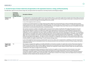# **b. Describe the impact of climate-related risks and opportunities on the organization's businesses, strategy, and financial planning**

The table below captures how the climate change risks, and opportunities have impacted (or not) Infosys' business and strategy by category:

|                                              | <b>CC risks and</b><br>opportunities<br>influenced your<br>strategy in this area? | <b>Description of influence</b>                                                                                                                                                                                                                                                                                                                                                                                                                                                                                                                                                                                                                                                                                                                                                                                                                                                                                                                                                                                                                                                                                                                                                                                                                                                                                    |
|----------------------------------------------|-----------------------------------------------------------------------------------|--------------------------------------------------------------------------------------------------------------------------------------------------------------------------------------------------------------------------------------------------------------------------------------------------------------------------------------------------------------------------------------------------------------------------------------------------------------------------------------------------------------------------------------------------------------------------------------------------------------------------------------------------------------------------------------------------------------------------------------------------------------------------------------------------------------------------------------------------------------------------------------------------------------------------------------------------------------------------------------------------------------------------------------------------------------------------------------------------------------------------------------------------------------------------------------------------------------------------------------------------------------------------------------------------------------------|
| <b>Products and</b><br>services              | Yes                                                                               | As a global leader in next-generation digital services and consulting, Infosys is a part of the supply chain ecosystem of its clients. Today, most of our<br>clients expect or even demand that Infosys, as their supplier, have a strong internal climate action program and be able to contribute to the client's<br>climate action commitments through the technology and services we offer.                                                                                                                                                                                                                                                                                                                                                                                                                                                                                                                                                                                                                                                                                                                                                                                                                                                                                                                    |
|                                              |                                                                                   | In view of the heightened client awareness                                                                                                                                                                                                                                                                                                                                                                                                                                                                                                                                                                                                                                                                                                                                                                                                                                                                                                                                                                                                                                                                                                                                                                                                                                                                         |
|                                              |                                                                                   | In response to increasing awareness on climate change and other related socio-environmental issues, clients increasingly request for Infosys'<br>emission performance or CDP score during RFP or the bidding stage. This could translate into a filtering criterion or a strongly weighted parameter<br>in their decisions to work with a particular entity. If Infosys performance is not managed in these areas, Infosys may lose to competition who could<br>exceed Infosys' environmental/social performance as assessed by clients.                                                                                                                                                                                                                                                                                                                                                                                                                                                                                                                                                                                                                                                                                                                                                                           |
|                                              |                                                                                   | The Company responds to multiple sustainability supplier assessments from its clients, including the CDP supply chain response every year.<br>Therefore, the magnitude of impact is considered low. Several clients request data from Infosys on its sustainability performance at various<br>stages like RFPs, vendor re-assessment as well as during CDP supply chain disclosures. Infosys believes that it could have potentially lost to its<br>competition, if not for its leadership in this space. Infosys committed to climate action more than a decade ago. As early as 2011, we committed to<br>100% transition to renewables and to carbon neutrality. We have built a net zero strategy around energy efficiency, renewable energy, and carbon<br>offsets. We set new standards in the industry for operational efficiency and consistently raised the bar for all stakeholders - consultants, vendors,<br>OEMs, peers and government agencies - through our climate change efforts. In fiscal 2020, Infosys became carbon neutral, giving a fillip to our<br>business strategy that includes offering zero-carbon services to our clients. Our 2030 ESG vision includes our commitment to stay carbon neutral<br>as well as enhance our targets to reduce Scope 1,2, and 3 emissions through action. |
|                                              |                                                                                   | In view of the heightened client awareness and demand for such services, Infosys sees an opportunity in capitalizing on the client requirements<br>Infosys has therefore set up the Sustainability Practice Unit, aiming to provide services and solutions in the area of climate change, smart spaces,<br>sustainability and ESG.                                                                                                                                                                                                                                                                                                                                                                                                                                                                                                                                                                                                                                                                                                                                                                                                                                                                                                                                                                                 |
| <b>Supply chain</b><br>and/or value<br>chain | Yes                                                                               | The Company recognizes that suppliers are valuable stakeholders in its business ecosystem. Its supply chain consists of three broad categories -<br>People, Services and Products. Most of Infosys' suppliers only provide services/products that ensure sustained operations for the Company and<br>do not contribute directly into Infosys' services/offerings. Therefore, the magnitude of impact related to climate change risks and opportunities is<br>considered low with respect to supply chain for fiscal 2021.                                                                                                                                                                                                                                                                                                                                                                                                                                                                                                                                                                                                                                                                                                                                                                                          |
|                                              |                                                                                   | However, from an operational excellence perspective, Infosys has driven its suppliers to look at innovations and investments in low-carbon<br>technologies. For example, the Company has looked at cleaner alternatives for its energy requirements. It has also constantly pushed its<br>construction/ equipment suppliers, to innovate and supply energy-efficient technologies. During this year, the Company continued working on<br>providing an impetus to electric vehicles. During fiscal 2021, it used 9 electric vehicles in Pune campus, which have helped reduce its footprint<br>(employee commute related) while also reducing cost for vendors.                                                                                                                                                                                                                                                                                                                                                                                                                                                                                                                                                                                                                                                     |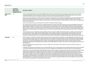|                                 | <b>CC</b> risks and<br>opportunities<br>influenced your<br>strategy in this area? | <b>Description of influence</b>                                                                                                                                                                                                                                                                                                                                                                                                                                                                                                                                                                                                                                                                                                                                                                                                                                                                                                                                                                                                                                                                                                                                           |
|---------------------------------|-----------------------------------------------------------------------------------|---------------------------------------------------------------------------------------------------------------------------------------------------------------------------------------------------------------------------------------------------------------------------------------------------------------------------------------------------------------------------------------------------------------------------------------------------------------------------------------------------------------------------------------------------------------------------------------------------------------------------------------------------------------------------------------------------------------------------------------------------------------------------------------------------------------------------------------------------------------------------------------------------------------------------------------------------------------------------------------------------------------------------------------------------------------------------------------------------------------------------------------------------------------------------|
| Investment in<br><b>R&amp;D</b> | Yes                                                                               | In the view of the potential risks of fuel-related regulation/taxes and Infosys' reputation (owing to its voluntary carbon neutral commitment), the<br>Company identified the need to be proactive and invest in reducing its emissions and carbon footprint. While the initial goal to become carbon<br>neutral for fiscal 2020 remains, the Company has decided to remain carbon neutral till each year for the next decade.                                                                                                                                                                                                                                                                                                                                                                                                                                                                                                                                                                                                                                                                                                                                            |
|                                 |                                                                                   | Infosys setup a Green Initiative team which handles the portfolio of Energy Efficiency, Smart Buildings, Building Monitoring System (BMS), Renewable<br>Energy, Climate Change Management projects. Each member has core expertise primarily focused on creating benchmarks in terms of energy<br>efficiency, renewable energy, and carbon offsets. Infosys, therefore, has invested heavily both in implementation as well as research and collaborations<br>in the climate action space.                                                                                                                                                                                                                                                                                                                                                                                                                                                                                                                                                                                                                                                                                |
|                                 |                                                                                   | Infosys was also granted a patent granted patent for innovations in Radiant Cooling technology.                                                                                                                                                                                                                                                                                                                                                                                                                                                                                                                                                                                                                                                                                                                                                                                                                                                                                                                                                                                                                                                                           |
|                                 |                                                                                   | The Company filed a new patent for a system and method developed for cleaning of Solar Panels. Infosys has also set up five different kinds of solar<br>PV technologies, namely, Poly-crystalline, Mono-crystalline, Hetero Junction Intrinsic Thin (HIT), Copper Indium Selenide Thin (CSI), and Cadmium<br>Telluride Thin (Cd-Te) films, on its campus as part of an experiment to study the efficiency of various technologies. The project analyzed the effects of<br>different weather conditions on the performance of the PV technologies. The Company also carried out this study to demonstrate the viability of the<br>best solar PV technology available in the market through continuous monitoring and analysis of the energy-generation data of these technologies, in<br>real time.                                                                                                                                                                                                                                                                                                                                                                        |
|                                 |                                                                                   | Infosys campuses serve as 'living labs' for clean tech adoption. Infosys continues to collaborate with policy makers, universities, research institutions<br>across the world to research energy-efficient building materials, green engineering solutions, monitoring systems and renewables. Some of the<br>partnerships include Indian Institute of Science (IISc), Bangalore, Lawrence Berkeley National Laboratory (LBNL), USA, IIT Bombay, Mumbai, 3M,<br>University of California, Berkeley, USA, Center for Built Environment (CBE), USA, Saint Gobain, and National Renewable Energy Laboratory (NREL), USA.                                                                                                                                                                                                                                                                                                                                                                                                                                                                                                                                                     |
| <b>Operations</b>               | Yes                                                                               | Climate change is an integral part of Infosys' business strategy. Our day to day operations are guided by our sustainability policy which focuses on four<br>tracks: 1. Making the business sustainable, 2. Making clients business sustainable, 3. Making the Infosys ecosystem sustainable and 4. Making lifestyles<br>sustainable. Climate change impacts our operations. Infosys has set up a Risk Council (consisting of the CEO, CFO, COO, CRO and the General Counsel),<br>whose work is overseen by the Risk Management Committee, with 4 Independent Board members. With respect to climate change, the Head of<br>Sustainability, along with relevant SMEs from Green Initiatives, Sustainability, BCMS and Facilities team, report all risks and opportunities to the Office of<br>Risk Management.                                                                                                                                                                                                                                                                                                                                                            |
|                                 |                                                                                   | Infosys has categorized the risks/opportunities as short term, medium term and long term. Most climate action risks are assessed in the short-to<br>long-term categories.                                                                                                                                                                                                                                                                                                                                                                                                                                                                                                                                                                                                                                                                                                                                                                                                                                                                                                                                                                                                 |
|                                 |                                                                                   | A dedicated internal team, Green Initiatives was set up in early 2008 with a focus on key operational areas to address climate change. The annual targets<br>on energy, renewables and emission reduction are part of the senior management and leadership scorecard and reviewed at a regular frequency.                                                                                                                                                                                                                                                                                                                                                                                                                                                                                                                                                                                                                                                                                                                                                                                                                                                                 |
|                                 |                                                                                   | Furthermore, in view of the potential fuel-related regulation/taxes and Infosys' reputation (owing to its voluntary carbon neutral commitment), physical<br>climate change risks like extreme weather conditions, floods, cyclones, etc., the Company considers both an increased risk to business as well as<br>preparedness for adaptation and mitigation being key to its operations. The Company has identified climate change as a physical risk to its operations<br>due to extreme weather events, resource shortages like water scarcity and changing environmental parameters like increase in temperature, etc.<br>The Company's strategy to adapt to these challenges is three pronged 1) Making its operations resilient to these risks through its business continuity<br>management system 2) Reducing its consumption of resources such as energy and water, reducing its business risk from resource scarcity 3) Making<br>itself self-sufficient in its energy and water requirements. The Company has solar PV capacity of 60 MW inclusive of both offsite and onsite solar plants<br>and rainwater harvesting systems to meet freshwater requirements. |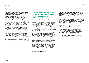Climate change risk and opportunity management have had a bearing on Infosys' financial planning by impacting its indirect cost and capital expenditures.

In fiscal 2017, Infosys introduced an internal price on carbon with the aim of taking more informed decisions on investments towards clean technologies, lower-carbon solutions, renewable energy and carbon offset projects for reducing/offseting its carbon footprint across significant operations. The initial carbon price defined was at US\$10.5, which was then revisited in fiscal 2019, and revised to US\$14.25. During this year, Infosys will revisit the internal carbon price.

As of fiscal 2021, through a series of energy efficiency projects, green buildings, installation of rooftop and onground solar, Infosys has been able to considerably reduce its dependency on grid. Today, the total green buildings for Infosys stands at 26 million sq. ft, while the overall energy consumption per million dollar revenue dropped by a whopping 77% against fiscal 2008. Further, Infosys also invested in 1 new carbon offset project in the biogas space, which can cater to its carbon neutrality related offset requirements for fiscal 2022 and beyond.

Infosys has also established the Sustainability practice unit that can cater to the external/market opportunities in the ESG space.

# **c. Describe the resilience of the organization's strategy, taking into consideration different climate-related scenarios, including a 2°C or lower scenario**

Infosys has applied the 2°C Scenario (2DS) retrospectively, to its carbon neutral program. We understand that the various scenario analyses provide insight into pathways to reach net zero by 2050. However, Infosys is already a carbon neutral company and has decided to continue its commitment to remain carbon neutral for each year up to fiscal 2030. Therefore, we already had a well-defined carbon neutral strategy to meet this commitment. Infosys considers that its current targets set are well aligned, well below the requirements of the 2DS.

Being an IT company, Infosys does not have a sector specific guidance for assessing the 2DS scenario. Infosys had considered policy changes such as emerging regulations, technology shifts and cost of energy, amongst others while assessing the 2DS scenario. The analysis included the energy consumption and the emissions projections up to fiscal 2050. These were analyzed and the expected emissions projections were estimated, to see how they co-related to the 2DS scenario and ambitions as a part of the Paris Agreement.

**Details of 2DS analysis:** Infosys conducted analysis in line with the IEA's 2DS scenario with the base year as 2013. It was seen that against the base year of 2013, Infosys should achieve at least 60.8% reduction in its absolute Scope 1+2 emissions by 2050 and at least 18.3% by fiscal 2021. Infosys has already achieved a 53.92% reduction in absolute Scope 1+2 emissions by as opposed to the expected reduction of 18.3% as of fiscal 2021.

**Well-below 2 degrees scenario:** Infosys' proposed sciencebased targets under well-below 2 degrees scenario, has been approved by Science Based Target Initiatives (SBTi) in April 2021. The science-based target defined for Infosys considers at least a 2.5% Y-o-Y reduction in the absolute scope 1 and 2 emissions going forward. Our targets include: 1) reduction in absolute scope 1 and 2 GHG emissions of 12.5% and 37.5% by fiscal 2025 and fiscal 2035 respectively from a fiscal 2020 base year, and 2) reduction in absolute scope 3 GHG emissions of 12.5% and 37.5% by fiscal 2025 and fiscal 2035 respectively from a fiscal 2020 base year.

These targets are aligned to our corporate commitments of staying carbon neutral and other existing emission reduction commitments. We have been investing in energy efficiency, renewable energy, and community-based carbon offset projects for nearly a decade now. The Company's ESG vision 2030 outlines its enhanced and continued climate action commitments to deploy the required resources to achieve them.

Infosys' decade-long climate action journey has inspired it's employees. Through its, board-level oversight, and corporate leadership commitment, it has created a resilient and sustainable program to fight climate change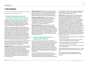# 3. Risk management:

Describe how the organization identifies, assesses, and manages climate-related risks

## **a. Describe the organization's processes for identifying and assessing climate-related risks**

At Infosys, the process of climate-related risks assessment is integrated into multi-disciplinary company-wide risk identification, assessment, and management processes. Climate change is an integral part of its business strategy and sustainability policy and therefore finds a place in the Company's enterprise risk management exercise.

Infosys Enterprise Risk Management function enables the achievement of strategic objectives by identifying, analyzing, assessing, mitigating, monitoring, and governing any risk or potential threat to these objectives. While achievement of strategic objectives is the key driver, Infosys' values, culture, obligation, and commitment to its stakeholders are the foundation on which the ERM framework is developed. The framework defines various categories of risks and the appropriate governance bodies or councils that will have an oversight on these risks. Climate change is an operational risk that is monitored through the Operational Risk council.

Infosys has a dedicated risk team headed by Chief Risk Officer to evaluate and appraise its management of critical risks to its business. Risks at Infosys are categorized as Strategic, Operational, and Legal and Compliance risks.

**Strategic Risks:** Risks arising out of the choices the Company has made in defining its strategy and the risks to the successful execution of its strategy are covered in this category. For example, risks inherent to the industry and Infosys' competitiveness are analyzed and mitigated through strategic choices of target markets, the Company's market offerings, business model and talent base. This year, the Company also launched the Sustainability Practice Unit, that focuses on market offerings for its clients wanting to transition on their low-carbon journey.

**Operational Risks:** Risks affecting the Company's policies, procedures, people and systems, thereby impacting service delivery or operations, or compromising its core values or business practices are covered in this category. Climate change risks find a place under operational risks for Infosys.

**Legal and Compliance Risks:** The risks arising out of threats posed to the Company's financial, organizational, or reputational standing resulting from litigations, non-conformance with laws, regulatory or geopolitical developments, codes of conduct and contractual compliances are covered in this category.

**Climate Change Risks:** the Company focuses, among others, on business continuity by ensuring appropriate preparedness to mitigate possible business disruptions on people, connectivity and infrastructure. Business continuity is a priority and is managed by the Phoenix program. Phoenix is Infosys' dedicated Business Continuity Management program headed by the Company's Chief Operating Officer, whose team owns the processes and monitors all the controls and compliance requirements.

# **b. Describe the organization's processes for managing climate-related risks**

As a part of its materiality exercise, Infosys considers all aspects with a dual lens - ones that have an impact on Infosys' sustainable business performance as well as those that can have an influence/impact on its stakeholders. Therefore, all aspects, including climate change, make it to Infosys' material topics. The Company also refers to international guidelines, standards and climate change trends reported in popular and academic journals and reports. This feeds into its materiality process which helps it to prioritize the risks and opportunities.

A multi-pronged approach is used to prioritize climate change risks and opportunities. While assessing the climate change risks & opportunities, they are aligned to the categorization as per most climate change related guidelines. These include transition risks (like regulatory, market, brand and reputation, compliance, etc.) and physical risks (like extreme weather events, drought, etc.).

**Physical risks** (operational risk) assessment depends on the threats and vulnerabilities the Company is exposed to from extreme weather events. In such cases, the probability, and the severity (impact) of such events are assessed. A quantitative scale of 1 to 4 is used to determine the probability, and severity of a risk. Estimated risks are prioritized based on risk ranking. The results of this riskbased approach are used to establish capital and expense allocations to establish preventive and corrective actions. These actions ensure preparedness measures and continuity of Infosys operations. Climate change risk profiling and opportunities are conducted over time horizons by the Green Initiatives team and the BCMS teams to assess outcomes, financial implications, and the impact. The risk categorization and financial implications are calculated considering the probability and the severity of potential risks. In defining the financial impacts of risks, the following guideline is used to arrive at severity of risks:

- Risks impacting over 2% of Infosys' revenues are considered critical (severity rating 4)
- Risks impacting between 1.5% and 2% of the Company's revenues are considered high (severity rating 3)
- Risks impacting between 1 % and 1.5% of Infosys' revenues are considered medium (severity rating 2)
- Risks impacting less than 1% of its revenues are considered low (severity rating 1)

The probabilities are defined using a rating of 1 to 4, 1 being the least probable while 4 being the most probable event/ risk.

All risks rated at 3 and 4, of probability and severity, are carried forward for financial impact estimation and mitigation.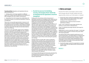**Transitional Risks:** Regulatory and reputational risks are determined based on:

1. Existing carbon and energy regulations in different regions the Company operates globally and the likelihood of them changing in the near, medium, and long term.

2. Expectations from the Company's key stakeholders and the severity of impact on its brand and reputation, if they are not addressed.

These risks in turn provide opportunities to improve on all critical aspects of climate change by bringing in changes to the existing processes and systems, which help the Company to optimize and save costs at various levels and also fuel the innovation engine both internally and externally related to Infosys' client offerings.

The business units responsible suggest various mitigation measures as required for the identified risks. The complete list of risks is then discussed during the quarterly risk meetings. Any issues either in terms of additional funds for mitigation measures, or residual risks or the secondary risks that remain are discussed as a part of these reviews during the quarterly risk meetings. Strategic decisions are taken after careful consideration of primary risks, secondary risks, consequential risks and residual risks. The Enterprise Risk Management function enables effective resource allocation through structured qualitative and quantitative risk impact assessment and prioritization based on Infosys' risk appetite. Any of these categories can have internal or external dimensions. Hence, appropriate risk indicators are used to identify these risks proactively.

# **c. Describe how processes for identifying, assessing, and managing climate-related risks are integrated into the organization's overall risk management**

As discussed in the previous sections, the process of identifying, assessing, and managing climate-related risks are integrated into the Enterprise Risk Management framework. Infosys uses a top-down and bottom-up approach for managing its risk. The materiality exercise feeds the significant topics/aspects that the Company should focus on. Any risks and/or opportunities related to these aspects are rolled up into the Enterprise Risk Management framework. Furthermore, each business unit responsible constantly tracks and manages the risks to the Company. The potential risks are assessed, and a risk rating is arrived at based on its severity, probability. The business units responsible suggest mitigation measures as required for the identified risks. The complete list of risks is then discussed during the quarterly risk meetings. Any issues either in terms of additional funds for mitigation measures, or residual risks or the secondary risks that remain are discussed as a part of these reviews during the quarterly risk meetings.

Strategic decisions are taken after careful consideration of primary risks, secondary risks, consequential risks and residual risks. The Enterprise Risk Management function enables effective resource allocation through structured qualitative and quantitative risk impact assessment and prioritization based on Infosys' risk appetite. Any of these categories can have internal or external dimensions. Hence, appropriate risk indicators are used to identify these risks proactively. The Company takes cognizance of risks faced by its key stakeholders and their cumulative impact while framing its risk responses.

Our Enterprise Risk Management framework is developed by incorporating the best practices based on COSO and ISO 31000 and then tailored to suit Infosys' unique business requirements.

# 4. Metrics and targets

Disclose the metrics and targets used to assess and manage relevant climate-related risks and opportunities where such information is material

a. Disclose the metrics used by the organization to assess climate-related risks and opportunities in line with its strategy and risk management process

 Starting fiscal 2021, Infosys has chosen to track its performance as follows,

Scope 1 and 2 combined: As percentage reduction over business as usual scenario in absolute terms.

Scope 3: As absolute percentage reduction with respect to 2020 baseline.

Additionally, on a year on year basis, the scope 1+2 and scope 3 emissions will be tracked as 'emissions (tCO<sub>2</sub>e) per million US\$ revenue generation.

Up until fiscal 2020, Infosys tracked its performance on all environmental aspects, normalized against its employee base that occupied and used the premises. However, to align to most international standards/reporting guidelines and/or rating agency review criteria, Infosys has decided to rework its intensity against US\$ million revenue generated. Please refer to Annexure 5, for details.

b. Describe the targets used by the organization to manage climate-related risks and opportunities and performance against targets

### **[Read more +](https://www.infosys.com/content/dam/infosys-web/en/about/corporate-responsibility/esg-vision-2030/vision-and-ambition-2030.html)**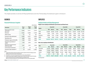# <span id="page-17-0"></span>Key Performance Indicators

This chapter provides an overview of Infosys' performance over time. The boundary of its disclosure is given in Annexure 1.

# BUSINESS

# **Financial Performance Snapshot**

|                                               |                       |                       | [US\$ million]        |
|-----------------------------------------------|-----------------------|-----------------------|-----------------------|
| <b>Particulars</b>                            | <b>Fiscal</b><br>2021 | <b>Fiscal</b><br>2020 | <b>Fiscal</b><br>2019 |
| Direct economic value<br>generated            | 13,832                | 13,151                | 12,106                |
| Revenues                                      | 13,561                | 12,780                | 11,799                |
| Other income                                  | 271                   | 371                   | 307                   |
| Economic value distributed                    | 13,803                | 14,227                | 13,389                |
| Operating costs                               | 2,684                 | 2,324                 | 2,600                 |
| Employee wages and benefits                   | 7,493                 | 7,678                 | 6,468                 |
| Payments to providers of<br>capital           | 1,226                 | 2,196                 | 1,746                 |
| Payments to governments<br>(total taxes paid) | 2,341                 | 1,975                 | 2,526                 |
| Community investments <sup>(1)</sup>          | 59                    | 54                    | 49                    |
| Economic value retained $(2)(3)$              | 29                    | (1,076)               | (1,283)               |

### *Notes:*

- *1) Includes US\$5 million which the Company intends to spend in the future relating to and in addition to the amounts spent in the prior year*
- *2) Calculated as 'Economic value generated less economic value distributed'*
- *3) Includes amount paid on buyback of equity shares of US\$1,070 million and US\$118 million for fiscal 2020 and, fiscal 2019 funded through accumulated reserves. Refer to our financial statements in the Annual Report and Form 20F for further details*

# EMPLOYEES

## **Employee Details and Talent Management**

**Region-wise employee distribution (permanent and fixed-term)**

| Region   | Fiscal 2021 |                 |              | Fiscal 2020 |        |                | Fiscal 2019 |        |                |
|----------|-------------|-----------------|--------------|-------------|--------|----------------|-------------|--------|----------------|
|          | Men         | Women           | <b>Total</b> | Men         | Women  | <b>Total</b>   | Men         | Women  | <b>Total</b>   |
| India    | 132,684     | 84,383          | 217.067      | 127,323     | 77,993 | 205,316        | 124,676     | 72,508 | 197.184        |
| APAC     | 5.034       | 3.745           | 8.779        | 4,908       | 3,712  | 8,620          | 4.429       | 3,332  | 7,761          |
| Americas | 14,284      | 7.515           | 21,799       | 11,953      | 5.756  | 17.709         | 10,663      | 5.039  | 15,702         |
| EMEA     | 7.296       | 4,678           | 11.974       | 6,508       | 4,218  | 10.726         | 4.684       | 2.792  | 7,476          |
| Total    | 159,298     | 100.321 259,619 |              | 150,692     |        | 91,679 242,371 | 144,452     |        | 83,671 228,123 |

### **Role-wise employee distribution**

| <b>Role</b>  | Fiscal 2021 |        |                 | Fiscal 2020 |        |                | Fiscal 2019 |        |                |
|--------------|-------------|--------|-----------------|-------------|--------|----------------|-------------|--------|----------------|
|              | Men         | Women  | <b>Total</b>    | Men         | Women  | <b>Total</b>   | Men         | Women  | <b>Total</b>   |
| Associate    | 54,734      | 49,802 | 104,536         | 50.045      | 44,539 | 94,584         | 46.625      | 39,933 | 86,558         |
| Middle       | 77,530      | 44,921 | 122,451         | 73.716      | 41.561 | 115,277        | 71.602      | 38,900 | 110,502        |
| Senior       | 25,580      | 5.054  | 30.634          | 25,129      | 4,884  | 30.013         | 25,343      | 4.749  | 30,092         |
| Top          | 871         | 94     | 965             | 845         | 81     | 926            | 882         | 89     | 971            |
| <b>Total</b> | 158,715     |        | 99,871 258,586* | 149,735     |        | 91,065 240,800 | 144,452     |        | 83,671 228,123 |

*\*Excluding Stater*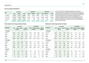### **Age-wise employee distribution**

| Age             | Fiscal 2021 |         |              | Fiscal 2020 |        |              | Fiscal 2019 |        |              |
|-----------------|-------------|---------|--------------|-------------|--------|--------------|-------------|--------|--------------|
|                 | Men         | Women   | <b>Total</b> | Men         | Women  | <b>Total</b> | Men         | Women  | <b>Total</b> |
| $\leq$ 30 years | 77.286      | 66.517  | 143,803      | 76.100      | 62.841 | 138,941      | 74,779      | 58,727 | 133,506      |
| 31-50 years     | 77.429      | 32,203  | 109,632      | 70.098      | 27,225 | 97.323       | 66,600      | 24,098 | 90,698       |
| $> 50$ years    | 4,583       | 1.601   | 6.184        | 3.537       | 999    | 4,536        | 3.073       | 846    | 3,919        |
| Total           | 159,298     | 100,321 | 259,619      | 149,735     | 91,065 | 240,800      | 144,452     | 83,671 | 228,123      |

As an IT services and consulting company, we do not have seasonal variations in employment. Most of our staff work as fulltime, permanent employees. We are committed to strengthening local hiring practices and continuously increasing the proportion of senior management hires from the local regions of our operations. We have 40 female and 9 male employees working part-time under fixed-term contracts across the organization. 88% of our talent are local hires and 71% of senior management personnel hired locally.

### **New employee hires by age, gender and region**

### **Employee turnover by age, gender and region**

|               |        |               | Fiscal 2021          |                          |        | Fiscal 2020 |                      |                                 |               |        |                                    | <b>Fiscal 2021</b> |                                       | Fiscal 2020  |                                              |        |              |
|---------------|--------|---------------|----------------------|--------------------------|--------|-------------|----------------------|---------------------------------|---------------|--------|------------------------------------|--------------------|---------------------------------------|--------------|----------------------------------------------|--------|--------------|
| Geography     | Men    | hiring $(\%)$ | <b>Rate of Women</b> | Rate of<br>hiring $(\%)$ | Men    | hiring (%)  | <b>Rate of Women</b> | <b>Rate of</b><br>hiring $(\%)$ | Geography     |        | <b>Men Turnover</b><br>rate $(% )$ |                    | <b>Women Turnover</b><br>rate $(\% )$ | Men          | <b>Turnover Women Turnover</b><br>rate $(%)$ |        | rate $(\% )$ |
| $<=$ 30 years |        |               |                      |                          |        |             |                      |                                 | $<=$ 30 years |        |                                    |                    |                                       |              |                                              |        |              |
| America       | 2,228  | 7.29          | 1,255                | 5.81                     | 2,349  | 6.40        | 1,029                | 3.91                            | America       | 1,207  | 5.50                               | 590                | 4.56                                  | 1,161        | 3.70                                         | 615    | 3.25         |
| APAC          | 580    | 1.90          | 487                  | 2.26                     | 776    | 2.12        | 801                  | 3.04                            | APAC          | 582    | 2.65                               | 491                | 3.79                                  | 505          | 1.61                                         | 569    | 3.00         |
| <b>EMEA</b>   | 1,116  | 3.65          | 1,014                | 4.70                     | 1,405  | 3.83        | 1,241                | 4.71                            | EMEA          | 831    | 3.79                               | 727                | 5.62                                  | 618          | 1.97                                         | 528    | 2.79         |
| India         | 18,048 | 59.09         | 14,283               | 66.15                    | 23,749 | 64.74       | 19,287               | 73.26                           | India         | 10,473 | 47.72                              | 7,023              |                                       | 54.26 17,209 | 54.83                                        | 12,556 | 66.27        |
| 31-50 years   |        |               |                      |                          |        |             |                      |                                 | 31-50 years   |        |                                    |                    |                                       |              |                                              |        |              |
| America       | 2,701  | 8.84          | 2,046                | 9.48                     | 1,952  | 5.32        | 1,360                | 5.17                            | America       | 1,536  | 7.00                               | 1,166              | 9.01                                  | 1,976        | 6.30                                         | 1,122  | 5.92         |
| APAC          | 891    | 2.92          | 471                  | 2.18                     | 784    | 2.14        | 432                  | 1.64                            | APAC          | 774    | 3.53                               | 436                | 3.37                                  | 776          | 2.47                                         | 396    | 2.09         |
| <b>EMEA</b>   | 1,047  | 3.43          | 654                  | 3.03                     | 1,099  | 3.00        | 674                  | 2.56                            | <b>EMEA</b>   | 689    | 3.14                               | 480                | 3.71                                  | 737          | 2.35                                         | 459    | 2.42         |
| India         | 2,949  | 9.65          | 917                  | 4.25                     | 3,679  | 10.03       | 1,232                | 4.68                            | India         | 5,096  | 23.22                              | 1,815              | 14.02                                 | 7,462        | 23.78                                        | 2,501  | 13.20        |
| >50 years     |        |               |                      |                          |        |             |                      |                                 | $> 50$ years  |        |                                    |                    |                                       |              |                                              |        |              |
| America       | 765    | 2.50          | 395                  | 1.83                     | 641    | 1.75        | 167                  | 0.63                            | America       | 567    | 2.58                               | 146                | 1.13                                  | 691          | 2.20                                         | 146    | 0.77         |
| APAC          | 56     | 0.18          | 15                   | 0.07                     | 74     | 0.20        | 33                   | 0.13                            | APAC          | 47     | 0.21                               | 16                 | 0.12                                  | 46           | 0.15                                         | 9      | 0.05         |
| EMEA          | 149    | 0.49          | 52                   | 0.24                     | 152    | 0.41        | 69                   | 0.26                            | <b>EMEA</b>   | 92     | 0.42                               | 46                 | 0.36                                  | 126          | 0.40                                         | 35     | 0.18         |
| India         | 15     | 0.05          | 3                    | 0.01                     | 22     | 0.06        | $\overline{2}$       | 0.01                            | India         | 52     | 0.24                               | $\overline{7}$     | 0.05                                  | 77           | 0.25                                         | 12     | 0.06         |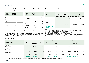**Employees covered under collective bargaining agreements (CBA) globally, as on Mar 31, 2021region**

| <b>Operating</b><br><b>locations</b> | <b>Number of</b><br>employees | <b>Employees</b><br>covered under<br><b>CBA</b> | <b>Operating</b><br><b>locations</b> | <b>Number of</b><br>employees | <b>Employees</b><br>covered under<br><b>CBA</b> |
|--------------------------------------|-------------------------------|-------------------------------------------------|--------------------------------------|-------------------------------|-------------------------------------------------|
| Spain                                | 25                            | 25                                              | The<br>Netherlands*                  | 2088                          | 1474                                            |
| Italy                                | 9                             | 9                                               | Poland                               | 2698                          | 2603                                            |
| <b>Brazil</b>                        | 567                           | 567                                             | Finland                              | 277                           | 277                                             |
| Japan                                | 533                           | 533                                             | France                               | 407                           | 407                                             |
| Sweden*                              | 445                           | 29                                              | Germany*                             | 1566                          | 816                                             |
| Croatia*                             | 103                           | 102                                             | Belgium*                             | 799                           | 61                                              |

*\*Only employees hired in these locations are covered*

We recognize our employees' right to assemble, communicate and join associations of their choice in matters related to their employment within the purview of our policies and procedures. We respect the rights of our employees to associate or not associate through Internal Employee resource groups and seek representation, to bargain or not bargain collectively in accordance with local laws

### **Occupational Health and Safety**

|                                                |                 | Fiscal 2021 |                |             | Fiscal 2020     |             |                    |            |
|------------------------------------------------|-----------------|-------------|----------------|-------------|-----------------|-------------|--------------------|------------|
| <b>Details</b>                                 | <b>Employee</b> |             | <b>Subcons</b> |             | <b>Employee</b> |             | <b>Subcons</b>     |            |
|                                                | <b>Number</b>   | Rate        | <b>Number</b>  | Rate        | <b>Number</b>   |             | <b>Rate Number</b> | Rate       |
| <b>Fatalities</b>                              | $\mathbf 0$     | $\Omega$    | $\Omega$       | $\mathbf 0$ | $\mathbf{0}$    | 0           | 0                  | 0          |
| High-consequence,<br>work-related<br>incidents | $\mathbf 0$     | $\mathbf 0$ | $\Omega$       | $\mathbf 0$ |                 | 0.0006      | $\mathbf{0}$       | 0          |
| Reportable<br>incidents                        | $\Omega$        | $\Omega$    | 21             | 0.217       |                 | 42 0.02519  | 51                 | 0.18449    |
| <b>Number of hours</b><br>worked               |                 | 8,407,944   |                | 19,323,324  |                 | 333,471,402 |                    | 55,287,563 |

*Notes:* 

*1) The incidents above are at India locations. There have been no incidents reported in overseas locations.* 

*2) The rates have been calculated based on 200,000 hours worked.*

*3) Reportable incidents are related to subcontractors is slips/trips, fall from height.*

*4) 28 vendor incidents were reported during the year, including 2 near-miss.* 

*5) We had two cases of suicide – 1 employee at Pune and 1 subcontractor at Bangalore and the reason were personal.* 

*6) Root cause analysis of all incidents are conducted and appropriate controls implemented to address the concerns.*

### **Trainings conducted**

|                                  |                          | Fiscal 2021          |                          |                          | Fiscal 2020          |                          |                          | Fiscal 2019          |                          |
|----------------------------------|--------------------------|----------------------|--------------------------|--------------------------|----------------------|--------------------------|--------------------------|----------------------|--------------------------|
| <b>Role-wise distribution</b>    | <b>Employee</b><br>count | <b>Training days</b> | Average<br>training days | <b>Employee</b><br>count | <b>Training days</b> | Average<br>training days | <b>Employee</b><br>count | <b>Training days</b> | Average<br>training days |
| Associate<br>(JL3 and below)     | 104,536                  | 2,061,912            | 19.72                    | 96,155                   | 2,050,508            | 21.33                    | 86,558                   | 2,268,382            | 26.21                    |
| Middle<br>$(JL4$ and $JL5)$      | 122,451                  | 736,277              | 6.01                     | 115,277                  | 440,733              | 3.82                     | 110,502                  | 500,797              | 4.53                     |
| Senior<br>$(JL6, JL7$ and $JL8)$ | 30,634                   | 140,851              | 4.60                     | 30,013                   | 84,198               | 2.81                     | 30,092                   | 100,627              | 3.34                     |
| Top<br>(title holders and UMR)   | 965                      | 1,688                | 1.75                     | 926                      | 1,475                | 1.59                     | 971                      | 1,482                | 1.53                     |
| <b>Total</b>                     | 258,586*                 | 2,940,728            |                          | 242,371                  | 2,576,913            |                          | 228,123                  | 2,871,288            |                          |

*Note: There are specialized enabling programs for the top leadership, such as coaching, mentoring and one-on-one development, which are not included in the table excluding Stater.*

**Infosys |** ESG DATA BOOK 2021 **19**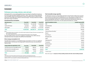# **Environment**

### **Performance across energy, emissions, water and waste**

Starting fiscal 2021, we are reporting global energy consumption for all significant locations in line with the topic boundaries detailed in Annexure 1 above. Where direct energy reading/bills were unavailable, Infosys has extrapolated the energy consumption based on national energy performance index (kWh/sq.ft) or based on historical averages. The data provided here includes data center energy consumptions.

### **Overall electricity consumption**

| <b>Electricity source</b> | Fiscal 2021 | Fiscal 2020 | Fiscal 2019 |
|---------------------------|-------------|-------------|-------------|
| $Grid^{(1)}$              | 94,249,185  | 161,226,788 | 153,095,050 |
| Captive DG Power          | 2.629.380   | 5,785,394   | 4,426,962   |
| Renewable $^{(2)}$        | 79,726,125  | 119,036,593 | 121,181,941 |
| <b>Total</b>              | 176,604,690 | 286,048,775 | 278,703,953 |

*Notes:* 

(1) *Includes global energy consumption, in line with the topic boundary for Energy. All overseas consumptions have been included under grid power* 

(2) *This includes wheeled green power, and the energy generated through in-house solar plants.*

Given the COVID scenario, most of our employees worked from home (WFH). We have estimated electricity consumption from WFH at 78,155,043 kWh.

### **Direct energy consumption in GJ**

The table below provides our consolidated energy consumption in GJ from our significant global locations. Until last year, the energy data for India and overseas were presented in separate tables

| Energy (within the organization, in GJ)   | Fiscal 2021 | Fiscal 2020 | Fiscal 2019    |
|-------------------------------------------|-------------|-------------|----------------|
| Grid electricity (non-renewable source)   | 339,297     | 580,416     | 551,142        |
| Electricity from renewable source         | 287,014     | 428,532     | 436,255        |
| Fuel (HSD, diesel, petrol) <sup>(1)</sup> | 45,349      | 79,366      | $66.352^{(2)}$ |
| <b>Total</b>                              | 671,660     | 1,088,314   | 1,053,749      |

### *Notes:*

*1) The values of GJ for fiscal 2020 and 2019 have been restated to include global information*

*2) Fuel consumption in GJ for the year Fiscal 2019 has been restated to include diesel and petrol consumption in addition to HSD. Fuel consumption is restricted to India operations only*

### **Total renewable energy capacities**

The table below presents our total installed capacities for Solar PV plant (rooftop and on-ground) across locations. Currently all our RE installations are in our India campuses. During the last fiscal, a few of our existing solar panels were dismantled owing to redevelopment activities at our Chennai Sholinganallur and Pune Ph 1 campuses. We also had to dismantle the rooftop solar at Bhubaneshwar due to cyclone Phani. The total capacity dismantled was 1,296 kW.

| <b>Solar PV installation location</b>  | Installed capacity (KW) |
|----------------------------------------|-------------------------|
| <b>SIRA</b>                            | 40,308.13               |
| Hyderabad SEZ                          | 7,682.00                |
| Bangalore                              | 2,191.08                |
| Chennai                                | 1,895.58                |
| Chennai Paranur Bus Bay <sup>(1)</sup> | 37.28                   |
| Mysore                                 | 1,347.83                |
| Pune Phase 2                           | 1,319.00                |
| Mangalore SEZ                          | 1,231.02                |
| Jaipur                                 | 1,015.00                |
| Hyderabad STP                          | 988.20                  |
| Trivandrum                             | 825.84                  |
| Bhubaneshwar                           | 612.00                  |
| Chandigarh                             | 202.80                  |
| Indore                                 | 189.90                  |
| <b>Total</b>                           | 59,845.66               |

*(1) Outside campus*

*(Please refer to page 23 - Comparison of Infosys building standards with other relevant building standards)*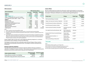### **GHG emissions**

|                                                            | GHG emissions (tCO <sub>se</sub> ) |             |             |  |  |
|------------------------------------------------------------|------------------------------------|-------------|-------------|--|--|
| <b>Source of emissions</b>                                 | Fiscal 2021                        | Fiscal 2020 | Fiscal 2019 |  |  |
| Scope $1^{(1)}$                                            | 8,678                              | 15,344      | 13.482      |  |  |
| Scope $2^{(2)}$                                            | 68,673                             | 124.063     | 118,293     |  |  |
| Total – Scope $1 + 2$                                      | 77,350                             | 139,407     | 131,774     |  |  |
| Scope 1+2 intensity (tCO <sub>2</sub> e per US \$ million) | 5.70                               | 10.91       | 11.17       |  |  |
| Y-o-Y reduction of per capita – Scope $1 + 2$ (%)          | 47.7                               | 2.3         | 7.6         |  |  |
| Scope 3                                                    |                                    |             |             |  |  |
| <b>Business travel</b>                                     | 8,068                              | 71,217      | 75,869      |  |  |
| Employee commute $(3)$                                     | 4.717                              | 54,372      | 57.762      |  |  |
| Transmission and distribution losses                       | 12,061                             | 25,913      | 21.747      |  |  |
| Upstream leased assets <sup>(4)</sup>                      | 3156                               | 23,556      | NА          |  |  |
| Waste emissions                                            | 127                                | 202         |             |  |  |
| Work from home emissions                                   | 64.634                             | NA.         | <b>NA</b>   |  |  |
| Capital goods                                              | 120.751                            | 196,342     | 187.469     |  |  |

*Notes:*

*1) Scope 1 emissions covers all owned offices in India.* 

*2) This includes India and other significant overseas locations, in line with the topic boundary defined.* 

- *3) Employee commute emissions reported include data for India locations, which forms a significant portion of our employee base.*
- *4) Leased office emissions calculated since fiscal 2020 only. For most overseas locations, we operated out of leased offices. Many of these lease agreements include power consumption as a part of their maintenance charges and therefore, we might not have exclusive Infosys energy bills. In such cases, the emissions are estimated based on EPI based energy consumption in the respective geographies.*

Scope 3 targets under our ESG vision, only includes the following categories viz., emissions from business travel, employee commute and T&D losses.

The biogenic emissions arise from combustion and/or flaring of biogas. Infosys monitors these emissions periodically and discloses them. The biogenic emissions during fiscal are 45.38 tCO<sub>2</sub>e.

### **Emission reduction initiatives**

The table below provides the list of emission reduction initiatives that have resulted in a reduction or avoidance of scope 2 emissions. These projects were completed at various points during the year and the actual emission reductions are as listed below:

| <b>Carbon reduction initiative</b>           | Energy procured/<br>saved (kWh) | <b>Emissions avoided</b><br>(tCO,e) |
|----------------------------------------------|---------------------------------|-------------------------------------|
| Energy efficiency retrofits in our buildings | 340.291                         | 281.42                              |
| Renewable energy generation and procurement  | 79.726.125                      | 65,933.50                           |

### **Carbon Offset**

We have implemented nine projects for driving low carbon technologies for communities. These were evaluated during the year for assessing carbon offset generated since the start of the projects. Third-party verification was carried out by UN-approved agencies.

| <b>Project name</b>                                     | Vintage                                 | <b>Project type</b> | <b>ERs verified/</b><br>available <sup>(1)</sup><br>(tCO,e) |
|---------------------------------------------------------|-----------------------------------------|---------------------|-------------------------------------------------------------|
| SKG Household Biogas, Karnataka                         | 2020                                    | <b>GS VER</b>       | 49,306                                                      |
| Udaipur Urja Improved Cookstove, Rajasthan              | 2019-2020                               | <b>GS VER</b>       | 38,561                                                      |
| Envirofit Improved Cookstove, Maharashtra               | 2019-2020                               | <b>GS VER</b>       | 44,228                                                      |
| Envirofit Improved Cookstove, Odisha                    | 2018-2020                               | <b>GS VER</b>       | 74,676(2)                                                   |
| Samuha Improved Cookstove, Karnataka                    | Verification yet to be<br>initiated     | <b>GS CDM</b>       |                                                             |
| Leh-Ladakh Solar Rural Electrification, J&K             | Not considered for<br>offset commitment | Voluntary           |                                                             |
| Savayava Krishi Parivara household biogas,<br>Karnataka | Project under<br>implementation         | $GS$ VER $(3)$      |                                                             |
| Envirofit improved cookstove $-2$ ,<br>Maharashtra      | Project under<br>implementation         | $GS$ VER $^{(3)}$   |                                                             |
| YRA household Biogas, Maharashtra                       | Project under<br>implementation         | $GS$ VER $^{(3)}$   |                                                             |
| <b>Total Credits</b>                                    |                                         |                     | $206,771^{(4)}$                                             |

*Notes:*

*1) As verified by 3rd Party auditors as of 31 March 2021.*

*2) This includes 26,129 credits carried forward from previous issuance.*

*3) These projects are in the process of Gold Standard registration.*

4) For the carbon neutrality requirement for fiscal 2021, Infosys will retire 170,113tCO<sub>2</sub>e.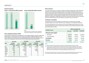### **Emission intensity:**

Scope 1+2 (tCO<sub>2</sub>e/US\$ million revenue) **e/US\$ million revenue) Scope 3 (tCO2e/US\$ million revenue)** 2019 2020 **2021 5.70** 11.17 10.91 2020 **2021** 11.85 **1.83**

> *Note: ESG goal for Scope 3 includes the scope 3 categories business travel, employee commute and T&D losses.*

### **Ozone-depleting substances (ODS)**

Our operations warrant the use of refrigerants in our Heating, Ventilation, and Air Conditioning (HVAC) systems, including R22, R32, R12, R123A, R410A, R407C, R134A and R404A. Each of these substances come with diverse Ozone Depleting Potential (ODP). We made the choice to switch over to refrigerants with minimum ODP and Global Warming Potential (GWP)

|                  | Fiscal 2021                              |                            | Fiscal 2020                              |                            | Fiscal 2019                              |                            |  |
|------------------|------------------------------------------|----------------------------|------------------------------------------|----------------------------|------------------------------------------|----------------------------|--|
| <b>ODS</b>       | <b>Total ODS</b><br>consumption<br>in kg | <b>CFC11</b><br>equivalent | <b>Total ODS</b><br>consumption<br>in kg | <b>CFC11</b><br>equivalent | <b>Total ODS</b><br>consumption<br>in kg | <b>CFC11</b><br>equivalent |  |
| R <sub>22</sub>  | 957                                      | 56.52                      | 1.766.50                                 | 105.99                     | 2,233.22                                 | 122.83                     |  |
| R407C            | 224.5                                    | $\Omega$                   | 171.50                                   | 0                          | 217                                      | 0                          |  |
| <b>R410A</b>     | 1,211                                    | $\Omega$                   | 1,955.90                                 | 0                          | 1,298.10                                 | 0                          |  |
| R134A            | 400                                      | $\Omega$                   | 1,325.22                                 | 0                          | 954.56                                   | 0                          |  |
| R404A            | 2.5                                      | $\Omega$                   | 11.29                                    | 0                          | 3.2                                      | 0                          |  |
| R <sub>123</sub> | 400                                      | 8                          | 0                                        | 0                          | 0                                        | $\Omega$                   |  |
| <b>R417A</b>     | 0                                        | $\Omega$                   | 10.40                                    | 0                          | 0                                        | 0                          |  |
| R32              | 8.1                                      |                            | 7.50                                     |                            | 0                                        | 0                          |  |

**Other emissions**

Our main emissions from our support activities are Nitrogen Oxide (NOx), Sulfur Oxide (SOx) and other ozone-depleting substances (ODS). The operation of diesel generator sets and boilers are the primary sources of NOx and SOx at our campuses. These are monitored every month to keep them within permissible limits prescribed by the regional Pollution Control Boards. We conduct monthly ambient air quality checks. The sulfur content in our fuel is 50 ppm (BS-IV at Bengaluru, Hyderabad and Chennai) and 350 ppm (BS-III for all other locations). The SOx and NOx emissions are not material to us and hence are not reported.

### **Freshwater consumption**

The table below presents the category wise freshwater consumption data for global operations. Water sources with a TDS of less than 1,000mg/L are considered as freshwater.

It is to be noted that none of the water sources are from designated protected area or areas having high-biodiversity value. During the year, Infosys has not received any grievances from local communities on water.

|                                         | <b>Water consumption (kl)</b> |             |             |  |  |
|-----------------------------------------|-------------------------------|-------------|-------------|--|--|
| <b>Freshwater sources</b>               | Fiscal 2021                   | Fiscal 2020 | Fiscal 2019 |  |  |
| Third-party water supply <sup>(1)</sup> |                               |             |             |  |  |
| Municipal <sup>(2)</sup><br>٠           | 866,527                       | 208,074     | 2,239,636   |  |  |
| Private providers                       | 205,731                       | 614,530     | 716.353     |  |  |
| Groundwater                             | 142,081                       | 123,077     | 403,323     |  |  |
| <b>Rainwater</b>                        | 79,293                        | 152,470     | 93,559      |  |  |
| <b>Total fresh water</b>                | 1,293,632                     | 2,972,151   | 3,452,871   |  |  |

*Notes:* 

*1) Water consumption mentioned above is restricted to minimal operations on campuses / offices.*

*2) Overseas water consumption has been estimated and included under Municipal category. This has been estimated based on the location-wise occupancy and the 3-year average per capita water consumption in India (fiscal 18, fiscal 19 & fiscal 20). The water consumption in these locations is restricted to human touch requirements only, unlike India, which has large landscaping and other requirements.*

The overall consumption of fresh water was 1293.63 ML, comprising of 866.58 ML from Municipal sources, 205.73 ML from Private Providers, 142.08 ML from Ground Water, 79.3 ML through Rainwater.

*Note: The ODP of R407C, R404A, R410A, R134A, R417A and R32 is zero*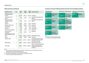### **Waste generation and disposal**

| <b>Significant waste</b>                                 | <b>Unit</b> | <b>Fiscal</b><br>2021 | <b>Fiscal</b><br>2020 | <b>Fiscal</b><br>2019 | <b>Disposal method</b>                                                                               |
|----------------------------------------------------------|-------------|-----------------------|-----------------------|-----------------------|------------------------------------------------------------------------------------------------------|
| <b>Hazardous waste</b>                                   |             |                       |                       |                       |                                                                                                      |
| E-waste                                                  | T           | 361.94                | 492.18                | 346.28                | Recycling                                                                                            |
| Oil-soaked cotton<br>waste                               | Τ           | 0.52                  | 0.643                 | 0.23                  | Incineration by authorized<br>agency                                                                 |
| <b>Biomedical waste</b><br>(including sanitary<br>waste) | T           | 31.92                 | 33.87                 | 30.15                 | Incineration by authorized<br>agency                                                                 |
| Used oil                                                 | kl          | 38.06                 | 39.19                 | 36.42                 | Recycling                                                                                            |
| Batteries (UPS+ Dry)                                     | т           | 96.43                 | 109.94                | 65.57                 | Recycling                                                                                            |
| DG batteries                                             | т           | 0.99                  | 2.39                  | 0.22                  | Recycling                                                                                            |
| DG filters                                               | т           | 2.51                  | 2.05                  | 2.00                  | Incineration                                                                                         |
| Paint can and residues                                   | T           | 8.46                  | 18.71                 | 11.11                 | Recycling                                                                                            |
| Chemical cans /<br>containers                            | т           | 4.49                  | 10.478                | 9.14                  | Recycling                                                                                            |
| Non-hazardous waste                                      |             |                       |                       |                       |                                                                                                      |
| Food                                                     | T           | 219.35                | 2.989.87              | 2,932.36              | Recycling and reuse                                                                                  |
| Plastic                                                  | т           | 55.99                 | 85.60                 | 133.87                | Recycling                                                                                            |
| Garden waste                                             | Т           | 4,116.21              | 4,549.11              | 2,450.94              | Recycling (treated in-house<br>in organic waste converter<br>and manure reused)                      |
| Mixed waste                                              | T           | 250.75                | 1,233.31              | 1,382.12              | Municipal solid waste                                                                                |
| STP sludge                                               | т           | 398.41                |                       | 3,059.66 2,385.85     | Reuse - Dried section sludge<br>is used as manure (solar<br>sludge drying beds in five<br>locations) |

### **Comparison of Infosys building standards with other relevant building standards**

| <b>Office Building Energy</b><br><b>Performance Index</b> |                                                             |                                                                                                                                                              | <b>Office Building Air-conditioning coverage</b>                                                           | <b>Chiller Plant (Air-conditioning) Efficiency</b><br>Chiller efficiency |                                         |  |
|-----------------------------------------------------------|-------------------------------------------------------------|--------------------------------------------------------------------------------------------------------------------------------------------------------------|------------------------------------------------------------------------------------------------------------|--------------------------------------------------------------------------|-----------------------------------------|--|
| $75$ kWh/Sq.m<br>per year<br><b>Infosys</b>               | 90 kWh/Sq.m per year<br><b>BEE 5-star rated</b><br>building | 1TR<br>1 <sub>TR</sub><br>of air-conditioning<br>of air-conditioning<br>covers 300 to 500 Sq.ft<br>covers 750 Sq.ft<br>Regular building(1)<br><b>Infosys</b> |                                                                                                            | $0.55$ kw/TR<br><b>Infosys</b>                                           | $0.7$ kW/TR<br>SuperECBC <sup>(2)</sup> |  |
|                                                           | Office Building Envelope Heat Gain (Peak)                   | <b>Fresh Air in Air-conditioning</b>                                                                                                                         |                                                                                                            |                                                                          |                                         |  |
| 0.7 W/Sq.ft Built-up<br>area<br><b>Infosys</b>            | <b>None</b><br>Comparable<br><b>Standard</b>                | <b>100%</b> Fresh Air<br>Infosys (radiant<br>cooled buildings)                                                                                               | <15% Fresh Air<br><b>ASHRAE 62.1</b><br>minimum standard<br>and LEED enhanced<br><b>Fresh Air Standard</b> |                                                                          |                                         |  |
| <b>Office Building Lighting Power Density</b>             |                                                             | <b>Office Building Water Demand</b>                                                                                                                          |                                                                                                            |                                                                          |                                         |  |
| $0.4$ W/Sq.ft<br><b>Infosys</b>                           | 0.46 W/Sq.ft<br><b>Super ECBC</b>                           | 25 liter/person<br>per day<br><b>Infosys</b>                                                                                                                 | 45 liter/person per day<br><b>National Building</b><br><b>Code 2016</b>                                    |                                                                          |                                         |  |
| <b>Office Building Electrical Demand (Peak)</b>           |                                                             |                                                                                                                                                              |                                                                                                            |                                                                          |                                         |  |
| $3.5$ w/sq.ft                                             | <b>5 to 10 W/Sq.ft</b><br><b>Ruilt-un area</b>              |                                                                                                                                                              |                                                                                                            |                                                                          |                                         |  |

| $\mathsf{I}$ 3.3 W/Sq.ft | 9.69.19.11/99.16                |
|--------------------------|---------------------------------|
| <b>Built-up area</b>     | Built-up area                   |
| <b>Infosys</b>           | Regular building <sup>(1)</sup> |

### *Notes:*

*(1) Average for commercial building in India*

*(2) Energy Conservation Building Code (ECBC)*

### *Notes:*

*1) Of the total waste generated and disposed of at Infosys, the significant waste due to legislative requirements, where quantities exceed 1,000 kg are being reported.* 

*2) All significant waste disposed of at India locations are included.* 

*3) The quantity of waste disposed is considered as the waste generation quantity.* 

*4) There were no significant spills during fiscal 2021*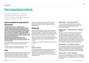# <span id="page-24-0"></span>Data computational methods

This chapter describes the conventions and computation methods used for calculating emissions, freshwater consumption and electricity consumption reported in Annexure 1.

# Intensity calculations for energy, water and GHG emissions

**Starting fiscal 2021, Infosys has decided to track its environmental performance normalized against the revenue (\$ million). While traditionally Infosys tracked this on the per capita basis, the Company realized that this did not offer a liketo-like comparison with its peers. Aligning to most standards that require data to be reported on revenue basis (like BRSR, CDP, etc.), the Company decided to make this shift. This was also functional shift considering the new baseline and the ESG vision laid out in fiscal 2020. Furthermore,** 

**this approach provided a rational assessment of our performance given the COVID scenario where most of its employees worked from home. A per capita assessment would give a skewed result.** 

Revenue-based Intensity: This intensity is estimated on a quarterly basis for Infosys Corporate (Group-level) based on quarterly revenues.

It is to be noted that most targets taken currently are on absolute reductions as opposed to intensity-based reduction.

# Energy

Infosys' energy consumption within its operations includes electricity from the grid, fuel used in diesel generators and Company-owned vehicles and equipment. The energy consumption outside the organization consists of fuel used in personal and commercial vehicles used by its employees for daily commute to the Compnay

offices and business travel and fuel used in its food courts. The energy data is calculated by using suitable conversion factors for electricity and various fuel sources as defined in the IPCC 4th Assessment Report.

# GHG emissions

GHG inventorization at Infosys is carried out with the underlying business objective of identifying potential areas for reduction of GHG, wherever possible. In view of this, Infosys decided to include any category of emission, that offered a potential to reduce emissions either through direct reduction option or a market alternative.

The gases considered for the carbon footprinting include carbon dioxide (CO<sub>2</sub>), methane (CH<sub>4</sub>), nitrous oxide (N<sub>2</sub>O), hydrofluorocarbons (HFCs), perfluorocarbons (PFCs) and sulfur hexafluoride (SF $_{6}$ ) emissions.

The following list provides details of significant emission categories for Infosys:

# **SCOPE 1**

### **Stationary combustion**

The total monthly quantity of high-speed diesel (fuel) combusted by diesel generators is captured and used for the emissions computation. The emissions factor for high-speed diesel is sourced from the IPCC 4<sup>th</sup> Assessment Report. Emissions due to onsite power generation from renewable sources such as solar and wind is considered to be zero.

### **Mobile emissions — petrol and diesel vehicles**

The total monthly quantity of diesel and petrol used by the Company-owned vehicles and lawn mowers is considered. The emissions factor for diesel/petrol is sourced from the IPCC 4th Assessment Report.

### **Fugitive emissions — refrigerants used in air conditioning equipment**

HVAC systems are a basic requirement of the industry. Various refrigerants are used for the air conditioners, each of which has a different global warming potential. The refrigerants used include R32, R410A, R407C, R404A, R134A, R22 and R417A. The total weight (in kg) of the refrigerant refilled during the service of airconditioning systems is captured from the service reports. This consolidated quantity based on the different refrigerants is used for the GHG computation using emissions factors sourced from the UK Department for Environment, Food and Rural Affairs (DEFRA).

### Fugitive emissions – SF<sub>6</sub> in electrical circuit breaks

Some of the electrical breakers installed in Infosys campuses contain SF $_{\rm c}$ , which might be refilled during the course of maintenance. The information on the quantity of SF $_{\rm 6}$  used for refilling the electrical breakers, if any, from the service report is collated and the total GHG emissions computed using emissions factors sourced from DEFRA.

### **Fugitive emissions – CO2 in fire extinguishers**

The CO $_{\textrm{\tiny{2}}}$  used for fire extinguishers are included in this category. The total weight (in kg) of the CO $_{_2}$ refilled during service is captured from the service reports. This consolidated quantity of CO<sub>2</sub> is used for GHG computation.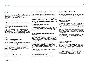# **SCOPE 2**

This includes the emissions from the generation of purchased electricity for all the Company's own offices as well as leased facilities with 'operational control'. In addition, being an IT company, the energy consumption from all data centers are also included.

### **Purchased electricity consumption**

A major portion of Infosys' electricity is sourced from government agencies or other utility providers who provide invoices on a monthly basis. This is used to capture information on the units consumed during the month in a location, and this information is recorded on the dashboard.

To calculate the total Scope 2 emissions, we have used the latest emissions factors for grid electricity provided by the Central Electricity Authority for India and country specific emission factors for other countries. For fiscal 2020, the emissions factors considered for other overseas locations are sourced from the respective countries' websites.

### **SCOPE 3**

### **Category 1: Purchased goods and services**

(reported under Category 2 below)

The Company's typical operational expenses include expenditure on employee salary, salary of technical subcontractors, insurance, travel expenses, etc. The expenses related to IT equipment, furniture and fixtures, etc. are already accounted in the capital goods based on its financial accounting at the Group level. In order to avoid double counting, no emissions are reported under 'purchased goods'. No emissions are therefore reported here.

### **Category 2: Capital goods**

(Relevant and reported)

Lifecycle emissions (cradle to gate) due to the procurement of capital goods have been included in this section. This data was available starting 2015 only and is hence reported

separately. The emissions due to capital goods have been calculated on the basis of annual spend on capital good.

The capital goods include buildings, plant and equipment, land acquired, furniture and fixtures, miscellaneous, office equipment and computers and vehicles procured during the current reporting period. This includes the emissions from the complete lifecycle of goods from extraction, production to transportation and distribution.

### **Category 3: Fuel and electricity related emission (not included in scope 1 or 2)**

### **Transmission and Distribution (T&D) losses (3.c)** (Relevant and reported)

Emissions due to T&D losses for every unit of grid electricity procured have been calculated under this section. This only applies for the electricity procured from the grid, and sourced from third-party nonrenewable sources, if any.

### **Other fuel and electricity related emissions (3.a, 3.b and 3.d)** (Not Relevant)

The other upstream emissions with respect to either the fuel or the electricity consumed in not in line with our business goals and therefore not relevant to Infosys. Infosys has neither any control, nor an opportunity to reduce the GHG of the large oil and gas companies. Similarly, in case of upstream emissions of power generators, neither does Infosys has any information on the upstream practices of the power generators in terms of the types of fuel used, the process for exploration/mining, transportation, processing and/or refining the fuel used for power generation. These would categorize as Tier 3 suppliers for Infosys. Therefore, category 3.a and 3.b are irrelevant for Infosys.

Since the Company is not a utility or energy retailer, category 3.d of Scope 3 is not relevant.

### **Category 4: Upstream transportation and distribution** (Relevant and reported under Category 2)

The emissions from capital goods already considers cradle to gate emissions and therefore this is not reported, to avoid double counting.

### **Category 5: Waste generated in operations** (Relevant and reported)

These include the emissions from the waste generated within Infosys operations. While the contribution of this category is low, Infosys has established processes and systems to manage the waste as well as capture GHG emissions from waste.

### **Category 6: Business travel**

(Relevant and reported)

Business travel comprises long- and short-distance air travel globally, and commute through surface transportation, including trains, buses, cabs, flights, etc., for business requirements. iTravel, an internal application, provides an integrated, end-to-end web-based solution for the travel needs of the employees. This solution is integrated with all Company policies, business processes, rules and validations and it captures the total distance travelled. In addition, the data from employee claim systems are also considered, for any taxis booked for their business travels.

The emissions due to business travel is estimated based on the fuel efficiency, the total distance travelled and the fuel characteristics like Net Calorific Value (NCV), density and emission factor for the fuel used. The emissions from business travel are based on the DEFRA emission factors.

### **Category 7: Employee commute**

(Relevant and reported)

The assumptions for the employee commute calculation have been sourced from a survey conducted within Infosys to understand the commute practices. The survey was launched across all campuses and geographies. The survey covered various aspects, such as distance between home and work, modes of transport, fuel efficiencies of personal vehicles used, the use of shift cabs if any, average number of work from home, number of times the employee carpooled to work, etc. The results of the survey were used for calculating the GHG emissions due to employee commute.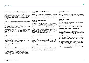Employees commute to office and back by various means, including Company-provided transportation, personal vehicles, and public transport. The total number of two- wheeler parking slots occupied monthly across campuses is considered for arriving at emissions from employee commute. The carpool percentage of the total employee swipe count at the campus is identified through surveys and this information is considered for arriving at emissions from employees using personal transport.

The information on the total number of bus users is provided by the transport team, which covers the number of people traveling by Company-provided transportation. The difference between the total number of employees and the sum of personal transport users and Company-provided transport users less percentage of carpool users gives the total number of users using public transport.

During this year, the emissions due to employee commute have been estimated based on the fuel efficiency, the total distance travelled and the fuel characteristics like NCV, density and emission factor for the fuel used.

### **Category 8: Upstream leased assets**

(Relevant and Reported)

In the Infosys context, this includes emissions from the energy consumption by: a) Infosys operating out of leased offices and b) Vendors operating out of Infosys food courts: LPG, PNG and other fuel usage by vendors in canteens/food courts.

### **Category 9: Downstream transportation and distribution**

(Not Relevant)

Infosys is a service company dealing with technology, consulting and outsourcing and its services do not require physical transportation and distribution. The emissions produced as a result of electricity usage for delivering services to clients has already been accounted under scope 1 and scope 2 emissions. Hence, this category is not applicable to Infosys and it has not calculated the GHG emissions associated with it.

### **Category 10: Processing of sold products** (Not Relevant)

Infosys is a service company dealing with technology, consulting and outsourcing. We do not sell any physical products, which requires processing. Hence, this category is not applicable to us and we have not estimated the GHG emissions associated with this category.

### **Category 11: Use of sold products** (Not Relevant)

Infosys is a service company dealing with technology, consulting and outsourcing. The emissions from its services are already covered in Scope 1 and 2 emissions. The emissions from energy use of while using its software products have been identified as part of the Company's Scope 3 emissions. The Company evaluated and spoke to several standard setting bodies for guidance on the same. However, no standards/guidelines are readily available at this point to estimate the same. Hence, the Company is unable to evaluate or state the emissions due to the use of its software solutions.

### **Category 12: End of life treatment of sold products** (Not Relevant)

Infosys is a service company dealing with technology, consulting and outsourcing. It does not sell any physical products which require end of life treatment. Hence, this category is not applicable to the Company and it does not calculated the GHG emissions associated with it.

### **Category 13: Downstream leased assets** (Not Relevant)

Infosys does not have any owned facilities, which it has leased out to any third party. Hence, this category is not applicable to the Company and it has not calculated the GHG emissions associated with it.

### **Category 14: Franchises** (Not Relevant)

Infosys does not operate under any franchises. Hence this category is not applicable to the Company and it has not calculated the GHG emissions associated with it.

### **Category 15: Investments**

(Not Relevant)

Infosys has not acquired any new companies which fall within its topic boundary during fiscal 2021.

Also, emission from Infosys' leased facilities in non-significant locations are already covered under 'upstream leased facilities'.

### **Category 16: Others – Work from home emissions** (Relevant and Reported)

The COVID scenario has presented different challenges this year. Considering safety, the Company switched its working, to work from home (WFH) mode, wherever possible. This also meant that a part of its energy consumption and the emissions thereof, were now happening at its employee homes.

The Company decided to be responsible about these emissions and has decided to include them in its carbon neutral commitment for this year.

Owing to lack of existing methodologies or procedures to estimate WFH emissions, it launched a global employee survey. The lighting, company laptop/computer charging, HVAC requirements were understood through the survey. Based on the industry average energy consumptions or wattages and the usage patterns, Infosys estimated the total emissions from WFH.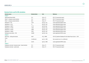# <span id="page-27-0"></span>**Emissions factors used for GHG calculations**

| <b>Emission source</b>                               | <b>Emission factor</b> | <b>Unit</b>                 | Reference                                                                |
|------------------------------------------------------|------------------------|-----------------------------|--------------------------------------------------------------------------|
| Scope 1                                              |                        |                             |                                                                          |
| High Speed Diesel (HSD)                              | 74.1                   | $tCO$ <sub>,</sub> $e$ / TJ | IPCC 4 <sup>th</sup> Assessment report                                   |
| Diesel - company-owned vehicles                      | 74.1                   | $tCO$ <sub>,</sub> $e$ / TJ | IPCC 4 <sup>th</sup> Assessment report                                   |
| Petrol - company-owned vehicles                      | 69.3                   | $tCO$ <sub>,</sub> $e$ / TJ | IPCC 4 <sup>th</sup> Assessment report                                   |
| Refrigerant – R22                                    | 1,810                  | kg CO <sub>2</sub> e / kg   | Latest applicable DEFRA values                                           |
| Refrigerant - R123                                   | 77                     | kg CO <sub>2</sub> e / kg   | Latest applicable DEFRA values                                           |
| Refrigerant - R407C                                  | 1,774                  | kg CO <sub>2</sub> e/ kg    | Latest applicable DEFRA values                                           |
| Refrigerant - R134A                                  | 1,430                  | kg CO <sub>2</sub> e / kg   | Latest applicable DEFRA values                                           |
| Refrigerant - R410A                                  | 2,088                  | kg CO <sub>2</sub> e / kg   | Latest applicable DEFRA values                                           |
| Refrigerant - R404A                                  | 3,922                  | kg CO <sub>2</sub> e / kg   | Latest applicable DEFRA values                                           |
| Refrigerant and others - SF6                         | 22,800                 | kg CO <sub>2</sub> e / kg   | Latest applicable DEFRA values                                           |
| <b>Scope 2</b>                                       |                        |                             |                                                                          |
| Electricity - India grid emission                    | 0.827                  | tCO <sub>2</sub> /MWh       | CEA CO <sub>2</sub> Baseline Database for the Indian Power Sector - 2019 |
| China                                                |                        |                             |                                                                          |
| US                                                   | Confidential           | $kg CO$ <sub>2</sub> /kWh   | Not revealed since it is confidential                                    |
| UK                                                   | 0.2331                 | kg CO <sub>2</sub> / kWh    | Latest applicable DEFRA values                                           |
| Scope 3                                              |                        |                             |                                                                          |
| Employee commute / business travel - diesel vehicles | 74.1                   | tCO <sub>2</sub> e/TJ       | IPCC 4 <sup>th</sup> Assessment report                                   |
| Employee commute - petrol cabs                       | 69.3                   | $tCO$ <sub>,</sub> $e/TJ$   | IPCC 4 <sup>th</sup> Assessment report                                   |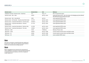|          | Unit                       | <b>Reference</b>                                                                                                     |
|----------|----------------------------|----------------------------------------------------------------------------------------------------------------------|
| 74.1     | tCO <sub>3</sub> e/TJ      | IPCC 4 <sup>th</sup> Assessment report                                                                               |
| 0.0078   | kg CO <sub>2</sub> e / pkm | India GHG Protocol 2015 - Non-Sub urban rail (indiaghgp.org/sites/default/<br>files/Rail%20Transport%20Emission.pdf) |
| 0.005    | kg CO <sub>2</sub> e       | Latest applicable DEFRA values                                                                                       |
| 0.12132  | kg CO <sub>2</sub> e / pkm | Latest applicable DEFRA values                                                                                       |
| 0.073615 | kg CO <sub>2</sub> e / pkm | Latest applicable DEFRA values                                                                                       |
| 0.11778  | kg CO <sub>2</sub> e / pkm | Latest applicable DEFRA values                                                                                       |
| 0.21348  | kg CO <sub>2</sub> e / pkm | Latest applicable DEFRA values                                                                                       |
| 0.29445  | kg CO <sub>2</sub> e / pkm | Latest applicable DEFRA values                                                                                       |
| 18.3%    | % T&D loss                 | Ministry of Power, India                                                                                             |
| 0.02971  | kg CO <sub>2</sub> e / kWh | Country-specific emission factor and T&D loss data                                                                   |
| 0.0258   | kg CO <sub>2</sub> e / kWh | Country-specific emission factor and T&D loss data                                                                   |
| 0.0329   | kg CO <sub>2</sub> e / kWh | Latest available DEFRA values                                                                                        |
|          | <b>Emission factor</b>     |                                                                                                                      |

# **Water**

Fresh water consumption is tracked through meter readings and through invoices. Water inlet and outlet from Sewage Treatment Plants is also monitored and accordingly reported.

# Waste

Waste is segregated at source and process for measurement of waste is established. The quantum of waste generated and disposed is computed with relevant evidences in the form of weighment receipts, registers, etc.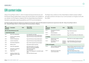# <span id="page-29-0"></span>GRI content index

Infosys' Annual Report 2020-21, which includes the financial disclosures and the Business Responsibility Report, along with the ESG Report are available on our website. Our ESG Report is aligned with the Global Reporting Initiative's Standard sustainability reporting guidelines and TCFD recommendations.

The Report also conforms to the United Nations Global Compact (UNGC) principles and forms the basis of our Communication on Progress (CoP) with the UNGC.

The following table provides the mapping of our disclosures for fiscal 2021 against the GRI standard (Comprehensive) requirements: Note (AR - Infosys Annual Report 2020-21; ESG - Infosys ESG Report 2020-21). It also includes TCFD recommendations mapping.

| <b>GRI</b><br>standard &<br>disclosure | <b>Description</b>                                                 | <b>TCFD</b> | Page number<br>reference link                                             | <b>GRI</b><br>standard &<br>disclosure | <b>Description</b>                                      | <b>TCFD</b>                | Page number<br>reference link                                                                |
|----------------------------------------|--------------------------------------------------------------------|-------------|---------------------------------------------------------------------------|----------------------------------------|---------------------------------------------------------|----------------------------|----------------------------------------------------------------------------------------------|
|                                        | <b>GRI 102: General Disclosures 2016</b>                           |             |                                                                           | 102-11                                 | Precautionary Principle or<br>approach                  |                            | Page 12 ESG: Environment                                                                     |
|                                        | 1. Organizational profile                                          |             |                                                                           | 102-12                                 | <b>External initiatives</b>                             |                            | Page 2, 12, 30 ESG                                                                           |
| $102 - 1$                              | Name of the organization                                           |             | Cover Page ESG: Cover Page<br>Page 283 AR: Business Responsibility Report | $102 - 13$                             | Membership of associations                              |                            | Page 30 ESG: Partnerships and collaborations                                                 |
| $102 - 2$                              | Activities, brands, products,<br>and services                      |             | Page 283 AR: Business Responsibility Report                               | 2. Strategy                            |                                                         |                            |                                                                                              |
| $102 - 3$                              | Location of headquarters                                           |             | Page 283 AR: Business Responsibility Report                               | 102-14                                 | Statement from senior<br>decision-maker                 |                            | Page 6 ESG: Our world in digital acceleration                                                |
| $102 - 4$                              | Location of operations                                             |             | Page 283 AR: Business Responsibility Report                               | $102 - 15$                             | Key impacts, risks, and<br>opportunities                | Strategy. A                | Page 85 AR: Outlook, risks and concerns,                                                     |
| $102 - 5$                              | Ownership and legal form                                           |             | Page 139 AR: Corporate Governance Report                                  |                                        |                                                         | Strategy. B<br>Strategy. C | Page 130 AR: Risk Management Report                                                          |
| $102 - 6$                              | Markets served                                                     |             | Page 280 AR: Segment reporting                                            | 3. Ethics and integrity                |                                                         |                            |                                                                                              |
| $102 - 7$                              | Scale of the organization                                          |             | Page 9 ESG: Progress on our goals<br>Page 26-27 AR: Financial Highlights  | 102-16                                 | Values, principles, standards,<br>and norms of behavior |                            | Page 40-43 ESG: Corporate Governance, Code of<br>Conduct and Ethics https://www.infosys.com/ |
| $102 - 8$                              | Information on employees<br>and other workers                      |             | Page 30 ESG: Energizing<br>local communities                              |                                        |                                                         |                            | investors/corporate-governance/documents/<br>codeofconduct.pdf                               |
| 102-9                                  | Supply chain                                                       |             | Page 41 ESG: Engaging for a sustainable supply<br>chain                   | $102 - 17$                             | Mechanisms for advice and<br>concerns about ethics      |                            | Page 42 ESG: Whistle Blower Policy<br>https://www.infosys.com/investors/corporate-           |
| $102 - 10$                             | Significant changes to the<br>organization and its supply<br>chain |             | Page 4 ESG: About the report                                              |                                        |                                                         |                            | governance/Documents/whistleblower-policy.<br>pdf                                            |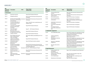| <b>GRI</b><br>standard &<br>disclosure | <b>Description</b>                                                             | <b>TCFD</b> | Page number/<br>reference link                                                                                            | <b>GRI</b><br>standard &<br>disclosure | <b>Desc</b>                      |
|----------------------------------------|--------------------------------------------------------------------------------|-------------|---------------------------------------------------------------------------------------------------------------------------|----------------------------------------|----------------------------------|
| 4. Governance                          |                                                                                |             |                                                                                                                           | 102-33                                 | Comr<br>conce                    |
| 102-18                                 | Governance structure                                                           |             | Page 99 AR: The Board of Directors                                                                                        | 102-34                                 | Natur<br>critica                 |
| 102-19                                 | Delegating authority                                                           |             | Page 5 ESG: ESG Governance framework, ESG<br>Committee                                                                    | 102-35                                 | Remu                             |
| 102-20                                 | for economic, environmental,<br>and social topics                              |             | Executive-level responsibility Governance. A Page 5 ESG: ESG Governance framework, ESG<br>Committee                       | 102-36                                 | Proce<br>remu                    |
| 102-21                                 | Consulting stakeholders on<br>economic, environmental,<br>and social topics    |             | Page 7, 8 ESG: ESG vision, material topics and<br>ambitions 2030                                                          | 102-37                                 | Stake<br>remu                    |
| 102-22                                 | Composition of the highest<br>governance body and its<br>committees            |             | Page 99 AR: The Board of Directors                                                                                        | 102-38<br>102-39                       | Annu<br>ratio<br>Perce<br>annua  |
| 102-23                                 | Chair of the highest<br>governance body                                        |             | AR: The Board of Directors<br>Page 99                                                                                     |                                        | ratio                            |
| 102-24                                 | Nominating and selecting<br>the highest governance body                        |             | Page 99 AR: The Board of Directors                                                                                        | 5. Stakeholder eng                     |                                  |
| 102-25                                 | Conflicts of interest                                                          |             | Page 99 AR: The Board of Directors                                                                                        | 102-40                                 | List o                           |
| 102-26                                 | Role of highest governance<br>body in setting purpose,<br>values, and strategy |             | Page 18 ESG: Making sustainability part of our<br><b>DNA</b>                                                              | 102-41                                 | Colled<br>agree                  |
| 102-27                                 | Collective knowledge of<br>highest governance body                             |             | Page 99 AR: The Board of Directors                                                                                        | 102-41                                 | Identi<br>stakel                 |
| 102-28                                 | Evaluating the highest<br>governance body's<br>performance                     |             | Page 104 AR: Board member evaluation                                                                                      | 102-43                                 | Appro<br>enga                    |
| 102-29                                 | Identifying and managing<br>economic, environmental,<br>and social impacts     |             | Page 5 ESG: ESG Governance framework, ESG<br>Committee Page 18 AR: Sharing an equitable and<br>sustainable digital future | 102-44                                 | Key to<br>raisec                 |
| 102-30                                 | <b>Effectiveness of risk</b><br>management processes                           |             | Governance. B Page 130 AR: Risk Management Report                                                                         | 6. Reporting practi                    |                                  |
| 102-31                                 | Review of economic,<br>environmental, and social<br>topics                     |             | Page 5 ESG: ESG Governance framework, ESG<br>Committee                                                                    | 102-45                                 | <b>Entiti</b><br>consc<br>finano |
| 102-32                                 | Highest governance<br>body's role in sustainability                            |             | Governance. A Page 5 ESG: ESG Governance framework, ESG<br>Committee                                                      | 102-46                                 | Defin<br>topic                   |
|                                        | reporting                                                                      |             |                                                                                                                           | 102-47                                 | List of                          |
|                                        |                                                                                |             |                                                                                                                           |                                        |                                  |

| GRI<br>standard &<br>disclosure | <b>Description</b>                                               | <b>TCFD</b> | Page number/<br>reference link                                                                                             |
|---------------------------------|------------------------------------------------------------------|-------------|----------------------------------------------------------------------------------------------------------------------------|
| 102-33                          | Communicating critical<br>concerns                               |             | Page 5 ESG: ESG Governance framework, ESG<br>Committee                                                                     |
| 102-34                          | Nature and total number of<br>critical concerns                  |             | Page 5 ESG: ESG Governance framework, ESG<br>Committee                                                                     |
| 102-35                          | Remuneration policies                                            |             | Page 35 AR: Particulars of employees                                                                                       |
| 102-36                          | Process for determining<br>remuneration                          |             | Page 35 AR: Particulars of employees,<br>Page 114 AR: Nomination and remuneration<br>committee                             |
| 102-37                          | Stakeholders' involvement in<br>remuneration                     |             | Page 35 AR: Particulars of employees                                                                                       |
| 102-38                          | Annual total compensation<br>ratio                               |             | Page 35 AR: Particulars of employees                                                                                       |
| 102-39                          | Percentage increase in<br>annual total compensation<br>ratio     |             | Page 35 AR: Particulars of employees                                                                                       |
|                                 | 5. Stakeholder engagement                                        |             |                                                                                                                            |
| 102-40                          | List of stakeholder groups                                       |             | Page 43 ESG: Engaging with stakeholders through<br>various channels and earning trust through<br>transparent communication |
| 102-41                          | Collective bargaining<br>agreements                              |             | Page 45 ESG: Our culture and ethos,<br>Page 91 ESG Annexure 2                                                              |
| 102-41                          | Identifying and selecting<br>stakeholders                        |             | Page 43 ESG: Engaging with stakeholders through<br>various channels and earning trust through<br>transparent communication |
| 102-43                          | Approach to stakeholder<br>engagement                            |             | Page 43 ESG: Engaging with stakeholders through<br>various channels and earning trust through<br>transparent communication |
| 102-44                          | Key topics and concerns<br>raised                                |             | Page 43 ESG: Engaging with stakeholders through<br>various channels and earning trust through<br>transparent communication |
| 6. Reporting practice           |                                                                  |             |                                                                                                                            |
| 102-45                          | Entities included in the<br>consolidated<br>financial statements |             | Page 212 AR: Consolidated Financial Statements                                                                             |
| 102-46                          | Defining report content and<br>topic Boundaries                  |             | Page 2 ESG: About the Report, Page 2 ESG<br>Databook: Annexure 1                                                           |
| 102-47                          | List of material topics                                          |             | Page 7 ESG: ESG vision, material topics and<br>ambitions 2030                                                              |
| 102-48                          | Restatements of information                                      |             | Page 2 ESG: About the Report                                                                                               |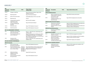| GRI<br>standard &<br>disclosure | <b>Description</b>                                                                   | <b>TCFD</b>                                                | Page number/<br>reference link                                                                                                                                                  |
|---------------------------------|--------------------------------------------------------------------------------------|------------------------------------------------------------|---------------------------------------------------------------------------------------------------------------------------------------------------------------------------------|
| 102-49                          | Changes in reporting                                                                 |                                                            | Page 2 ESG: About the Report, Page 23 ESG<br>Databook: Annexure 5                                                                                                               |
| 102-50                          | Reporting period                                                                     |                                                            | Page 2 ESG: About the Report                                                                                                                                                    |
| 102-51                          | Date of most recent report                                                           |                                                            | Sustainability Report 2019-20: June 2020                                                                                                                                        |
| 102-52                          | Reporting cycle                                                                      |                                                            | Annual                                                                                                                                                                          |
| 102-53                          | Contact point for questions<br>regarding the report                                  |                                                            | Back Cover ESG: Feedback                                                                                                                                                        |
| 102-54                          | Claims of reporting in<br>accordance with the GRI<br><b>Standards</b>                |                                                            | Page 2 ESG: About the Report                                                                                                                                                    |
| 102-55                          | <b>GRI</b> content index                                                             |                                                            | Page 27 ESG Databook: Annexure 7                                                                                                                                                |
| 102-56                          | External assurance                                                                   |                                                            | Page 33 ESG Databook: Annexure 8                                                                                                                                                |
|                                 | <b>GRI 103: MANAGEMENT APPROACH</b>                                                  |                                                            |                                                                                                                                                                                 |
| $103-1$                         | Explanation of the material<br>topic and its Boundary                                |                                                            | Page 7, 8 ESG: ESG vision, material topics and<br>ambitions 2030                                                                                                                |
| $103 - 2$                       | The management approach<br>and its components                                        |                                                            | Page 6 ESG: Message from Chief Executive Officer<br>& Managing Director Page 14-15 AR: Message<br>from Chairman and Message from Chief Executive<br>Officer & Managing Director |
| $103 - 3$                       | Evaluation of the<br>management approach                                             |                                                            | Page 7, 8, 9 ESG: ESG vision, material topics and<br>ambitions 2030                                                                                                             |
|                                 | <b>GRI 200: ECONOMIC PERFORMANCE</b>                                                 |                                                            |                                                                                                                                                                                 |
| <b>GRI 201: Economic</b>        |                                                                                      |                                                            |                                                                                                                                                                                 |
| $201 - 1$                       | Direct economic value<br>generated and distributed                                   |                                                            | Page 16 ESG Databook Annexure 4                                                                                                                                                 |
| $201 - 2$                       | Financial implications and<br>other risks and opportunities<br>due to climate change | Strategy. A<br>Strategy. B<br>Risk Mgmt. B<br>Risk Mgmt. C | Page 3 ESG Databook: Climate change risks and<br>opportunities assessment and management<br>Risk Mgmt. A (Aligned with TCFD Guidance)                                           |
| $201 - 3$                       | Defined benefit plan<br>obligations and other<br>retirement plans                    |                                                            | Page 82 AR: Provision for tax                                                                                                                                                   |
| $201 - 4$                       | Financial assistance received                                                        |                                                            | Page 16 ESG Databook nnexure 4                                                                                                                                                  |

| <b>GRI</b><br>standard &<br>disclosure | <b>Description</b>                                                                        | <b>TCFD</b> | Page number/reference link                                                                |
|----------------------------------------|-------------------------------------------------------------------------------------------|-------------|-------------------------------------------------------------------------------------------|
| <b>GRI 202: Market presence</b>        |                                                                                           |             |                                                                                           |
| $202-1$                                | Ratios of standard entry level<br>wage by gender compared to<br>local minimum wage        |             | Page 28 ESG: Diversity and inclusion                                                      |
| $202 - 2$                              | Proportion of senior<br>management hired from the<br>local community                      |             | Page 30 ESG: Energizing local communities                                                 |
|                                        | <b>GRI 203: Indirect Economic Impacts</b>                                                 |             |                                                                                           |
| $203-1$                                | Infrastructure investments<br>and services supported                                      |             | Page 30-35 ESG: Energizing local communities and<br>Employee wellness and experience      |
| $203-2$                                | Significant indirect economic<br>impacts                                                  |             | Page 30-35 ESG: Energizing local communities and<br>Employee wellness and experience      |
|                                        | <b>GRI 204: Procurement practices</b>                                                     |             |                                                                                           |
| 204-1                                  | Proportion of spending on<br>local suppliers                                              |             | Page 41 ESG: Local suppliers                                                              |
| <b>GRI 205: Anti-corruption</b>        |                                                                                           |             |                                                                                           |
| 205-1                                  | Operations assessed for risks<br>related to corruption                                    |             | Page 127 AR: Risk management committee                                                    |
| 205-2                                  | Communication and training<br>about anti-corruption<br>policies and procedures            |             | Page 42, 43 ESG: Anti-Bribery and Anti Corruption,<br>Code of conduct and ethics training |
| $205 - 3$                              | Confirmed incidents of<br>corruption and actions taken                                    |             | Page 42 ESG: Integrity and compliance                                                     |
|                                        | GRI 206: Anti-competitive behavior                                                        |             |                                                                                           |
| 206-1                                  | Legal actions for anti-<br>competitive behavior,<br>anti-trust, and monopoly<br>practices |             | Page 42, 43 ESG: Integrity and compliance, Anti-<br>competitive practices                 |
|                                        |                                                                                           |             |                                                                                           |

from government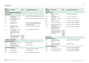| <b>GRI</b><br>standard &<br>disclosure | <b>Description</b>                                                                                                                                     | <b>TCFD</b>            | Page number/reference link                                           | <b>GRI</b><br>standard &<br>disclosure | <b>Description</b>                                                                                      | <b>TCFD</b>                                                     | Page number/reference link       |  |
|----------------------------------------|--------------------------------------------------------------------------------------------------------------------------------------------------------|------------------------|----------------------------------------------------------------------|----------------------------------------|---------------------------------------------------------------------------------------------------------|-----------------------------------------------------------------|----------------------------------|--|
|                                        | <b>GRI 300: ENVIRONMENT PERFORMANCE</b>                                                                                                                |                        |                                                                      | <b>GRI 305: Emissions</b>              |                                                                                                         |                                                                 |                                  |  |
| <b>GRI 302:Energy</b>                  |                                                                                                                                                        |                        |                                                                      | $305-1$                                | Direct (Scope 1) GHG<br>emissions                                                                       |                                                                 | Page 13 ESG: Climate change      |  |
| $302 - 1$                              | Energy consumption within<br>the organization                                                                                                          |                        | Page 19 ESG Databook: ANNEXURE 4 Environment                         | $305 - 2$                              | Energy indirect (Scope 2)<br><b>GHG</b> emissions                                                       |                                                                 | Page 13 ESG: Climate change      |  |
| $302 - 2$                              | Energy consumption outside<br>of the organization                                                                                                      |                        | Page 19 ESG Databook: ANNEXURE 4 Environment                         | $305 - 3$                              | Other indirect (Scope 3) GHG<br>emissions                                                               |                                                                 | Page 13 ESG: Climate change      |  |
| $302 - 3$                              | Energy intensity                                                                                                                                       |                        |                                                                      | 305-4                                  | GHG emissions intensity                                                                                 |                                                                 | Page 21 ESG Databook: ANNEXURE 4 |  |
| $302 - 4$                              | Reduction of energy                                                                                                                                    |                        | Page 15 ESG: Green buildings Page 20 ESG:                            | $305 - 5$                              | <b>Reduction of GHG emissions</b>                                                                       |                                                                 | Page 20 ESG Databook: ANNEXURE 4 |  |
|                                        | consumption                                                                                                                                            |                        | Emission reduction initiatives Page 61 AR:<br>Conservation of energy | $305 - 6$                              | Emissions of ozone-depleting<br>substances (ODS)                                                        |                                                                 | Page 21 ESG Databook: ANNEXURE 4 |  |
| $302 - 5$                              | Reductions in energy<br>requirements of products<br>and services                                                                                       |                        | Page 15 ESG: Engaging client solutions                               | $305 - 7$                              | Nitrogen oxides (NOX), sulfur<br>oxides (SOX), and other<br>significant air emissions                   |                                                                 | Page 21 ESG Databook: ANNEXURE 4 |  |
| NA.                                    | Discussion of the integration<br>of environmental<br>considerations into strategic<br>planning for data center<br>needs<br>Metrics and targets used to |                        | Page 2 ESG Databook: ANNEXURE 2                                      |                                        | Metrics and targets used to<br>assess and manage relevant<br>climate-related risks and<br>opportunities | Metrics &<br>targets - A<br>Metrics &<br>targets.B<br>Metrics & |                                  |  |
|                                        | assess and manage relevant                                                                                                                             | Metrics &<br>targets.A |                                                                      | GRI 306: Waste                         |                                                                                                         | targets.C                                                       |                                  |  |
|                                        | climate-related risks and<br>opportunities                                                                                                             | Metrics &<br>targets.C |                                                                      | <b>Management Approach</b>             |                                                                                                         |                                                                 |                                  |  |
|                                        | <b>GRI 303: Water and effluents</b>                                                                                                                    |                        |                                                                      | $306-1$                                | Waste generation and                                                                                    |                                                                 | Page 22 ESG Databook: ANNEXURE 4 |  |
| <b>Management Approach</b>             |                                                                                                                                                        |                        |                                                                      |                                        | significant waste-related                                                                               |                                                                 |                                  |  |
| $303 - 1$                              | Interactions with water as a<br>shared resource                                                                                                        |                        | Page 18 ESG: Water                                                   | $306 - 2$                              | impacts<br>Management of significant                                                                    |                                                                 | Page 20 ESG: Waste               |  |
| $303 - 2$                              | Management of water                                                                                                                                    |                        | Page 18 ESG: Water                                                   |                                        | waste-related impacts                                                                                   |                                                                 |                                  |  |
| <b>Topic specific disclosures</b>      | discharge-related impacts                                                                                                                              |                        |                                                                      | $306 - 3$                              | <b>Topic Specific Disclosures</b><br>Waste generated                                                    |                                                                 |                                  |  |
| $303 - 3$                              | Water withdrawal                                                                                                                                       |                        |                                                                      | 306-4                                  |                                                                                                         |                                                                 | Page 22 ESG Databook: ANNEXURE 4 |  |
|                                        |                                                                                                                                                        |                        | Page 21 ESG Databook: ANNEXURE 4                                     |                                        | Waste diverted from disposal                                                                            |                                                                 | Page 22 ESG Databook: ANNEXURE 4 |  |
| $303 - 4$                              | Water discharge                                                                                                                                        |                        | Page 18 ESG: Water                                                   | $306 - 5$                              | Waste directed to disposal                                                                              |                                                                 | Page 22 ESG Databook: ANNEXURE 4 |  |
| $303 - 5$                              | Water consumption                                                                                                                                      |                        | Page 21 ESG Databook: ANNEXURE 4                                     |                                        |                                                                                                         |                                                                 |                                  |  |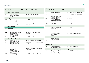| <b>GRI</b><br>standard &<br>disclosure | <b>Description</b>                                                                                          | <b>TCFD</b> | Page number/reference link                                              | <b>GRI</b><br>standard &<br>disclosure | <b>Description</b>                                                                    |
|----------------------------------------|-------------------------------------------------------------------------------------------------------------|-------------|-------------------------------------------------------------------------|----------------------------------------|---------------------------------------------------------------------------------------|
|                                        | <b>GRI 307: Environmental compliance</b>                                                                    |             |                                                                         | 403-6                                  | Promotion of worker heal                                                              |
| $307-1$                                | Non-compliance with<br>environmental laws and<br>regulations                                                |             | Page 42 ESG: Integrity and compliance                                   | 403-7                                  | Prevention and mitigation<br>of occupational health an<br>safety impacts directly lin |
|                                        | <b>GRI 308: Supplier Environmental Assessment</b>                                                           |             |                                                                         | $403 - 8$                              | by business relationships<br>Workers covered by an                                    |
| $308-1$                                | New suppliers that<br>were screened using<br>environmental criteria                                         |             | Page 41 ESG: Building sustainable and responsible<br>supply chain       | 403-9                                  | occupational health and<br>safety management syste<br>Work-related injuries           |
| $308 - 2$                              | Negative environmental<br>impacts in the supply chain<br>and actions taken                                  |             | Page 41 ESG: Building sustainable and responsible<br>supply chains      | 403-10                                 | Work-related ill health                                                               |
|                                        | <b>GRI 400: Social Dimension</b>                                                                            |             |                                                                         |                                        | <b>GRI 404: Training and education</b>                                                |
| <b>GRI 401: Employment</b>             |                                                                                                             |             |                                                                         | $404-1$                                | Average hours of training<br>year per employee                                        |
| $401 - 1$                              | New employee hires and<br>employee turnover                                                                 |             | Page 17 ESG Databook: Annexure 4                                        | $404 - 2$                              | Programs for upgrading<br>employee skills and transi                                  |
| $401 - 2$                              | Benefits provided to full-time<br>employees that are not<br>provided to temporary or<br>part-time employees |             | Page 32-35ESG: Employee wellness and<br>experience                      | 404-3                                  | assistance programs<br>Percentage of employees<br>receiving regular<br>performance    |
| $401 - 3$                              | Parental leave                                                                                              |             | Page 28 ESG: Parental leave                                             |                                        | <b>GRI 405: Diversity and equal opport</b>                                            |
|                                        | GRI 403: Occupational health and safety                                                                     |             |                                                                         | $405 - 1$                              | Diversity of governance                                                               |
| $403 - 1$                              | Occupational health and<br>safety management system                                                         |             | Page 36 ESG: Occupational Health and Safety                             | $405 - 2$                              | bodies and employees<br>Ratio of basic salary and<br>remuneration of women t          |
| $403 - 2$                              | Hazard identification, risk<br>assessment, and incident                                                     |             | Page 55 Infosys SR 2020-21: Occupational Health<br>and Safety           |                                        | men                                                                                   |
| $403 - 3$                              | investigation                                                                                               |             |                                                                         |                                        | <b>GRI 406: Non-discrimination</b>                                                    |
|                                        | Occupational health services                                                                                |             | Page 56-57 Infosys SR 2020-21: Occupational<br><b>Health and Safety</b> | 406-1                                  | Incidents of discrimination<br>and corrective actions tak                             |
| 403-4                                  | Worker participation,<br>consultation, and                                                                  |             | Page 56-57 Infosys SR 2020-21: Occupational<br><b>Health and Safety</b> |                                        | <b>GRI 407: Freedom of association and</b>                                            |
|                                        | communication on<br>occupational health and<br>safety                                                       |             |                                                                         | $407 - 1$                              | Operations and suppliers<br>which the right to freedor<br>of association and collecti |
| $403 - 5$                              | Worker training on<br>occupational health and<br>safety                                                     |             | Page 36 ESG: Occupational Health and Safety                             |                                        | bargaining may be at risk                                                             |

| GRI<br>standard &<br>disclosure | <b>Description</b>                                                                                                     | TCFD |                                      | Page number/reference link                  |  |
|---------------------------------|------------------------------------------------------------------------------------------------------------------------|------|--------------------------------------|---------------------------------------------|--|
| 403-6                           | Promotion of worker health                                                                                             |      |                                      | Page 36 ESG: Occupational Health and Safety |  |
| 403-7                           | Prevention and mitigation<br>of occupational health and<br>safety impacts directly linked<br>by business relationships |      |                                      | Page 36 ESG: Occupational Health and Safety |  |
| 403-8                           | Workers covered by an<br>occupational health and<br>safety management system                                           |      | 100% Workers                         |                                             |  |
| 403-9                           | Work-related injuries                                                                                                  |      |                                      | Page 18 ESG Databook: Annexure 4            |  |
| 403-10                          | Work-related ill health                                                                                                |      |                                      | Page 18 ESG Databook: Annexure 4            |  |
|                                 | <b>GRI 404: Training and education</b>                                                                                 |      |                                      |                                             |  |
| 404-1                           | Average hours of training per<br>year per employee                                                                     |      |                                      | Page 18 ESG Databook: Annexure 4            |  |
| 404-2                           | Programs for upgrading<br>employee skills and transition<br>assistance programs                                        |      |                                      | Page 18 ESG Databook: Annexure 4            |  |
| 404-3                           | Percentage of employees<br>receiving regular<br>performance                                                            |      | Page 38 ESG: Performance management  |                                             |  |
|                                 | <b>GRI 405: Diversity and equal opportunity</b>                                                                        |      |                                      |                                             |  |
| 405-1                           | Diversity of governance<br>bodies and employees                                                                        |      | Page 99 AR: Board composition        |                                             |  |
| 405-2                           | Ratio of basic salary and<br>remuneration of women to<br>men                                                           |      | Page 28 ESG: Diversity and inclusion |                                             |  |
|                                 | <b>GRI 406: Non-discrimination</b>                                                                                     |      |                                      |                                             |  |
| 406-1                           | Incidents of discrimination<br>and corrective actions taken                                                            |      | Page 29                              | ESG: Diversity and inclusion,               |  |
|                                 | GRI 407: Freedom of association and collective bargaining                                                              |      |                                      |                                             |  |
| 407-1                           | Operations and suppliers in<br>which the right to freedom<br>of association and collective                             |      | Page 18                              | <b>ESG Databook: Annexure 4</b>             |  |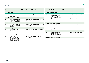| <b>GRI</b><br>standard &<br>disclosure | <b>Description</b>                                                                             | <b>TCFD</b> | Page number/reference link                                         | <b>GRI</b><br>standard &<br>disclosure | <b>Description</b>                                                                              | <b>TCFD</b> | Page number/reference link                                                                                              |  |
|----------------------------------------|------------------------------------------------------------------------------------------------|-------------|--------------------------------------------------------------------|----------------------------------------|-------------------------------------------------------------------------------------------------|-------------|-------------------------------------------------------------------------------------------------------------------------|--|
| <b>GRI 408: Child Labor</b>            |                                                                                                |             |                                                                    |                                        | <b>GRI 413: Local Communities</b>                                                               |             |                                                                                                                         |  |
| 408-1                                  | Operations and suppliers at<br>significant risk for incidents<br>of child labor                |             | Page 41 ESG: Building sustainable and responsible<br>supply chains | $413 - 1$                              | Operations with local<br>community engagement,<br>impact assessments,                           |             | Page 30 ESG: Energizing local communities                                                                               |  |
|                                        | <b>GRI 409: Forced or Compulsory Labor</b>                                                     |             |                                                                    |                                        | and development programs                                                                        |             |                                                                                                                         |  |
| 409-1                                  | Operations and suppliers at<br>significant risk for incidents<br>of forced or compulsory labor |             | Page 41 ESG: Building sustainable and responsible<br>supply chains | $413 - 2$                              | Operations with significant<br>actual and potential negative<br>impacts on<br>local communities |             | Page 30 ESG: Energizing local communities                                                                               |  |
|                                        | <b>GRI 410:Security Practices</b>                                                              |             |                                                                    |                                        | <b>GRI 414: Supplier Social Assessment</b>                                                      |             |                                                                                                                         |  |
| $410-1$                                | Security personnel trained<br>in human rights policies or<br>procedures                        |             | Page 41 ESG: Building sustainable and responsible<br>supply chains | $414-1$<br>414-2                       | New suppliers that were<br>screened using social criteria<br>Negative social impacts in         |             | Page 41 ESG: Building sustainable and responsible<br>supply chains<br>Page 41 ESG: Building sustainable and responsible |  |
|                                        | <b>GRI 412: Human Rights Assessment</b>                                                        |             |                                                                    |                                        | the supply chain and actions                                                                    |             | supply chains                                                                                                           |  |
| $412 - 1$                              | Operations that have                                                                           |             | Page 36 ESG: Employee wellness and experience                      |                                        | taken                                                                                           |             |                                                                                                                         |  |
|                                        | been subject to human<br>rights reviews or impact                                              |             |                                                                    | <b>GRI 418: Customer privacy</b>       |                                                                                                 |             |                                                                                                                         |  |
|                                        | assessments                                                                                    |             |                                                                    | 418-1                                  | Substantiated complaints                                                                        |             | Page 44 ESG: Aligned with global protocols                                                                              |  |
| $412 - 2$                              | Employee training on human<br>rights policies or procedures.                                   |             | Page 36 ESG: Employee wellness and experience                      |                                        | concerning breaches of<br>customer privacy and losses<br>of customer data                       |             |                                                                                                                         |  |
| $412 - 3$                              | Significant investment                                                                         |             | Page 41 ESG: Building sustainable and responsible                  |                                        |                                                                                                 |             |                                                                                                                         |  |
|                                        | agreements and contracts<br>that include human rights                                          |             | supply chains                                                      |                                        | <b>GRI 419: Socio-economic compliance</b>                                                       |             |                                                                                                                         |  |
|                                        | clauses or that underwent<br>human rights screening                                            |             |                                                                    | 419-1                                  | Non-compliance with laws<br>and regulations in the social<br>and economic area                  |             | Page 44 ESG: Aligned with global protocols                                                                              |  |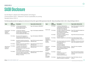# <span id="page-35-0"></span>SASB Disclosure

# Our ESG Report is aligned with SASB Standards, Technology & Communications Sector - Software & IT Services Sustainability Accounting Standard, Version 2018-10.

The following table provides the mapping of our disclosures for fiscal 2021 against SASB requirements: Note (AR - Infosys Annual Report 2020-21; ESG - Infosys ESG Report 2020-21).

| <b>Topic</b>                                                | <b>SASB</b><br>disclosure | <b>Description</b>                                                                                                                                                                       | Page number reference link                              | <b>Topic</b>                                                        | <b>SASB</b><br>disclosure | <b>Description</b>                                                                                                                       | Page number reference link                                                             |
|-------------------------------------------------------------|---------------------------|------------------------------------------------------------------------------------------------------------------------------------------------------------------------------------------|---------------------------------------------------------|---------------------------------------------------------------------|---------------------------|------------------------------------------------------------------------------------------------------------------------------------------|----------------------------------------------------------------------------------------|
|                                                             | TC-SI-130a.               | (1) Total energy consumed,<br>(2) percentage grid electricity,<br>(3) percentage renewable                                                                                               | Page 2 ESG Databook: ANNEXURE 2                         | Data Security                                                       | TC-SI-230a.1              | (1) Number of data breaches,<br>(2) percentage involving personally<br>identifiable information (PII),<br>(3) number of users affected.  | Page 45 ESG: Uphold the digital trust<br>of our stakeholders                           |
| Environmental<br>Footprint of<br>Hardware<br>Infrastructure | TC-SI-130a.2              | (1) Total water withdrawn.<br>(2) total water consumed, percentage<br>of each in regions with High or<br><b>Extremely High Baseline Water Stress</b>                                     | Page 21 ESG Databook: ANNEXURE 4                        |                                                                     | TC-SI-230a.2              | Description of approach to identifying<br>and addressing data security<br>risks, including use of third-party<br>cybersecurity standards | Page 45 ESG: Uphold the digital trust<br>of our stakeholders                           |
|                                                             | TC-SI-130a.3              | Discussion of the integration of<br>environmental considerations into                                                                                                                    | Page 2 ESG Databook: ANNEXURE 2                         |                                                                     | TC-SI-330a.1              | Percentage of employees that are<br>(1) foreign nationals and<br>(2) located offshore                                                    | Page 29 ESG: Diversity and Inclusion                                                   |
|                                                             |                           | strategic planning for data center needs                                                                                                                                                 |                                                         | Recruiting &<br>Managing a                                          | TC-SI-330a.2              | Employee engagement as a percentage                                                                                                      | Page 35 ESG: Employee health<br>and well-being driving a culture of<br>wellness        |
|                                                             | TC-SI-220a.1              | Description of policies and practices<br>relating to behavioral advertising and<br>user privacy                                                                                          | Page 44 ESG: Ensuring the safety of<br>stakeholder data | Global, Diverse<br>& Skilled<br>Workforce                           | TC-SI-330a.3              | Percentage of gender and racial/ethnic<br>group representation for                                                                       | Page 28 ESG: Diversity and Inclusion<br>Page 16 ESG databook: Annexure 4               |
|                                                             | TC-SI-220a.2              | Number of users whose information is<br>used for secondary purposes                                                                                                                      | Page 44 ESG: Ensuring the safety of<br>stakeholder data |                                                                     |                           | (1) management,<br>(2) technical staff, and<br>(3) all other employees                                                                   |                                                                                        |
| Data Privacy &<br>Freedom of<br>Expression                  | TC-SI-220a.4              | (1) Number of law enforcement<br>requests for user information,<br>(2) number of users whose information<br>was requested,<br>(3) percentage resulting in disclosure                     | Page 44 ESG: Ensuring the safety of<br>stakeholder data | Intellectual<br>Property<br>Protection &<br>Competitive<br>Behavior | TC-SI-520a.1              | Total amount of monetary losses as a<br>result of legal proceedings associated<br>with anticompetitive behavior<br>regulations           | Page 43 ESG: Anti-competitive<br>practices                                             |
|                                                             | TC-SI-220a.5              | List of countries where core products or Page 44 ESG: Ensuring the safety of<br>services are subject to government-<br>required monitoring, blocking, content<br>filtering, or censoring | stakeholder data                                        | Managing<br><b>Systemic Risks</b><br>from<br>Technology             | TC-SI-550a.1              | Number of<br>(1) performance issues and<br>(2) service disruptions;<br>(3) total customer downtime                                       | Page 10 ESG: Prioritizing employee<br>well-being while ensuring business<br>continuity |
|                                                             |                           |                                                                                                                                                                                          |                                                         | <b>Disruptions</b>                                                  | TC-SI-550a.2              | Description of business continuity risks<br>related to disruptions of operations                                                         | Page 74 AR: Outlook, risks and<br>concerns                                             |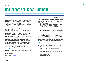# <span id="page-36-0"></span>Independent Assurance Statement

### **Scope and Approach**

DNV GL Business Assurance India Private Limited ("DNV") has been commissioned by management of Infosys Limited ("Infosys" or "the Company", Corporate Identity Number (CIN) L85110KA1981PLC013115) to undertake independent assurance of the Company's ESG Report 2021 in its printed format (the "Report") as well as referenced information in its Annual Report, the Company's website and other publicly available documents. The Report is prepared based on Global Reporting Initiative ("GRI") Sustainability Reporting Standards ("GRI Standards") and its Comprehensive option of Reporting, covering the performance of the Company across environmental, social and governance domains ("ESG performance") for the financial year 1st April 2020 - 31st March 2021.

The reporting scope and boundary encompasses Infosys' operations in India, Asia Pacific ("APAC"), Americas, and Europe, Middle East and Africa ("EMEA"), as brought out in the ESG Report 2021 in the section "About the Report", including criteria for inclusion and exclusion of entities from the reporting boundary.

We performed a moderate level of assurance based on our assurance methodology VeriSustainTM1, which is based on our professional experience, international assurance best practices including International Standard on Assurance Engagements 3000 ("ISAE 3000") Revised\* and GRI's Principles for Defining Report Content and Report Quality. Our assurance engagement was planned and carried out during May 2021. The intended user of this assurance statement is the Management of Infosys and relevant stakeholders.

### **Responsibilities of the Management of Infosys and the Assurance Provider**

The Management of Infosys has the sole responsibility for the preparation of the Report and are responsible for all information disclosed, and the processes for collecting, analysing and reporting the information. Infosys is also responsible for the maintenance and integrity of its website containing the referenced ESG performance-related disclosures. In performing this assurance work, DNV's responsibility is to the Management of Infosys; however, this statement represents our independent opinion and is intended to inform the outcome of the assurance to the stakeholders of the Company.

We provide a range of other services to Infosys, none of which in our opinion, constitute a conflict of interest with this assurance work. Our assurance engagements are based on the assumption that the data and information provided by Infosys to us as part of our review have been provided in good faith and free from material misstatements. We were not involved in the preparation of any statements or data included in the Report except for this Assurance Statement. DNV expressly disclaims any liability or co-responsibility for any decision a person or an entity may make based on this Assurance Statement.

### **Basis of our Opinion**

We planned and performed our work to obtain the evidence we considered necessary to provide a basis for our assurance opinion and the process did not involve engagement with external stakeholders. Due to the outbreak of the COVID-19 pandemic and associated travel restrictions, we carried out remote assessments as one-to-one discussions and onsite location audits were not feasible. Based on our assessment, we are providing a moderate level of assurance as per DNV VeriSustain.

As part of our assurance process, a multi-disciplinary team of sustainability and assurance specialists reviewed the ESG disclosures presented within the Report and referenced information, and sampled the disclosures related to operations in India and other geolocations, which were reviewed through the Company's customised sustainability management system.

DNV·GL

#### We undertook the following activities:

- Reviewed Infosys' approach to stakeholder engagement and materiality determination and the outcomes as brought out in this Report;
- Interviewed selected senior managers responsible for management of sustainability topics and reviewed selected evidences to support issues disclosed in the Report. We were free to choose interviewees and interviewed those with overall responsibility to deliver Infosys' sustainability objectives;
- Reviewed processes and systems for aggregating site level sustainability information, that is, reviewed sustainability disclosures for selected sites (Electronic City campus at Bengaluru, Phase – 2 Pune, Uniworld at Gurgaon and Infosys Poland) as well as the overall data aggregated and consolidated at the Corporate level from the Company's sustainability management system;
- Review of the processes for gathering and consolidating the selected performance data related to identified material topics and, for a sample, checking the data consolidation in context under the Principle of Completeness as per VeriSustain.

During the assurance process, we did not come across limitations to the scope of the agreed assurance engagement. The reported data on economic performance of Infosys, the expenditure towards Corporate Social Responsibility ("CSR") activities of Infosys (through the Infosys Foundation India, Infosys Foundation USA and the Infosys Science Foundation) and other financial data are based on audited financial statements issued by the Company's statutory auditors which is subject to a separate audit process. We were not involved in the review of financial data from the Annual Report.

### **Opinion**

On the basis of the verification undertaken, nothing came to our attention to suggest that the Report does not properly describe Infosys' sustainability performance including adherence to the Principles for Defining Report Content including GRI 102: General Disclosures 2016 and disclosures related to the following GRI Topic-specific Standards and related requirements as per GRI 103: Management Approach 2016, which have been chosen for reporting performance related to material topics identified by Infosys:

- − GRI 201: Economic Performance 2016 201-1, 201-2, 201-3, 201-4;
- − GRI 205: Anti-corruption 2016 205-1; 205-2, 205-3;
- − GRI 302: Energy 2016 302-1, 302-2, 302-3, 302-4;
- − GRI 303: Water 2018 –303-3, 303-4, 303-5;
- − GRI 305: Emissions 2016 305-1, 305-2, 305-3\* 305-4, 305-5, 305-6, 305-7;
- − GRI 306: Effluents and Waste 2016 –306-2, 306-3, 306-4;
- − GRI 307: Environmental Compliance 2016 307-1;
- − GRI 401: Employment 2016 401-1, 401-2, 401-3;
- − GRI 403: Occupational Health and Safety 2018 403-1, 403-2, 403-3, 403-4,
- 403-5, 403-6, 403-7, 403-8, 403-9, 403-10;
- − GRI 404: Training and Education 2016 404-1, 404-2, 404-3;

*Project No: PRJN-234697-2021-AST-IND Page 2 of 4*

*<sup>1</sup> The VeriSustain protocol is available on www.dnv.com \* Assurance Engagements other than Audits or Reviews of Historical Financial Information*.

*Project No: PRJN-234697-2021-AST-IND Page 1 of 4*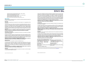# **DNV**·GL

- − GRI 405: Diversity and Equal Opportunity 2016 405-1, 405-2;
- − GRI 406: Non-discrimination 2016 406-1;
- − GRI 412: Human Rights Assessment 2016 412-1, 412-2, 412-3;
- − GRI 418: Customer Privacy 2016 418-1;
- − GRI 419: Socioeconomic Compliance 2016 419-1.
- *\*Reporting is based on the relative materiality of Scope 3 categories identified by Infosys.*

### **Observations**

Without affecting our assurance opinion, we provide the following observations against the principles of VeriSustain and GRI:

#### **Materiality**

*The process of determining the issues that is most relevant to an organization and its stakeholders.*

The Report brings out how Infosys has carried out its materiality determination process to arrive at its environmental, social and governance-related priorities through a process of shortlisting and prioritisation based on impacts to stakeholders and the business involving consultations with internal and external stakeholders, peer reviews, globally-accepted frameworks and global megatrends. This prioritized list topics arrived at based on the review of Infosys' progress over the last decade is brought out within the Report as well as its ESG Vision 2030.

**Nothing has come to our attention to believe that the Report has not applied the Principle of Materiality considering the chosen topic boundaries of reporting**.

#### **Stakeholder Inclusiveness**

*The participation of stakeholders in developing and achieving an accountable and strategic response to Sustainability.* 

We state that the Report brings out the process through which Infosys identifies its clients, employees, investors, suppliers and alliance partners, community, and government and regulatory bodies as its key stakeholder groups. The Report and referenced disclosures bring out the key expectations and concerns of these stakeholder groups which have been identified through formal and informal stakeholder engagement channels.

**Nothing has come to our attention to suggest that the Report does not meet the requirements related to the Principle of Stakeholder Inclusiveness.**

### **Responsiveness**

*The extent to which an organization responds to stakeholder issues.* 

The Report brings out disclosures related to the material topics identified by Infosys across the environmental, social and governance domains; this includes policies, strategies, ambitions over the medium- and long-term and disclosures related to management approach, as well as key performance indicators for bringing out its achievements during the reporting period.

**Nothing has come to our attention to suggest that the Report does not meet the requirements related to the Principle of Responsiveness**.

### **Reliability**

*The accuracy and comparability of information presented in the report, as well as the quality of underlying data management systems.* 

 Infosys has an established customized sustainability management system and internal audit mechanism for recording and reviewing its ESG performance across its operational sites, which includes processes for aggregation and validation of qualitative and quantitative disclosures as well as operating procedures which define calculations, methodologies and assumptions. The majority of data and information verified by us in the remote audits were found to be fairly accurate and reliable; some of the minor data inaccuracies identified during the verification of the sample data sets were found to be attributable to transcription, interpretation and aggregation errors. These data inaccuracies have been communicated for correction, and the related disclosures were further reviewed for correctness.

**Nothing has come to our attention to suggest that the Report does not meet the requirements related to the Principle of Reliability.**

#### **Completeness**

*How much of all the information that has been identified as material to the organisation and its stakeholders is reported?* 

The Report applies GRI's Principle of Completeness as defined in GRI 101: Foundation 2016, in relation to the coverage of its identified environmental, social and governance material topics considering operational boundaries and value chain entities where it deems its impacts to be significant, and relevant to the identified reporting period.

**Nothing has come to our attention to suggest that the Report does not meet the Principle of Completeness with respect to the identified scope and boundary for the reporting period.**

#### **Neutrality**

*The extent to which a report provides a balanced account of an organization's performance, delivered in a neutral tone.* 

The Report brings out disclosures related to Infosys' ESG performance and its key challenges and concerns of key stakeholder groups during the reporting period considering the overall sustainability context in a neutral and balanced tone while applying consideration to not unduly influence stakeholders' assessments made based on the reported disclosures.

**Nothing has come to our attention to suggest that the Report does not meet the requirements related to the Principle of Neutrality.**

For DNV GL Business Assurance India Private Limited

| nan, Kiran<br>$12:01:52 + 05'30'$                                                                                                          | , Nandkumar Pate: 2021.05.25 12:07:13                                                                            |
|--------------------------------------------------------------------------------------------------------------------------------------------|------------------------------------------------------------------------------------------------------------------|
| Kiran Radhakrishnan<br><b>Lead Verifier</b><br>DNV GL Business Assurance India Private<br>Limited, India.<br>25th May 2021 Rengaluru India | Vadakepatth Nandkumar<br><b>Assurance Reviewer</b><br>DNV GL Business Assurance India Private<br>Limited, India. |

25<sup>th</sup> May 2021, Bengaluru, India.

------------------------------------------------------------------------------------------------------- *DNV GL Business Assurance India Private Limited is part of DNV – Business Assurance, a global provider of certification, verification, assessment and training services, helping customers to build sustainable business performance. www.dnv.com*

*Project No: PRJN-234697-2021-AST-IND Page 3 of 4*

*Project No: PRJN-234697-2021-AST-IND Page 4 of 4*